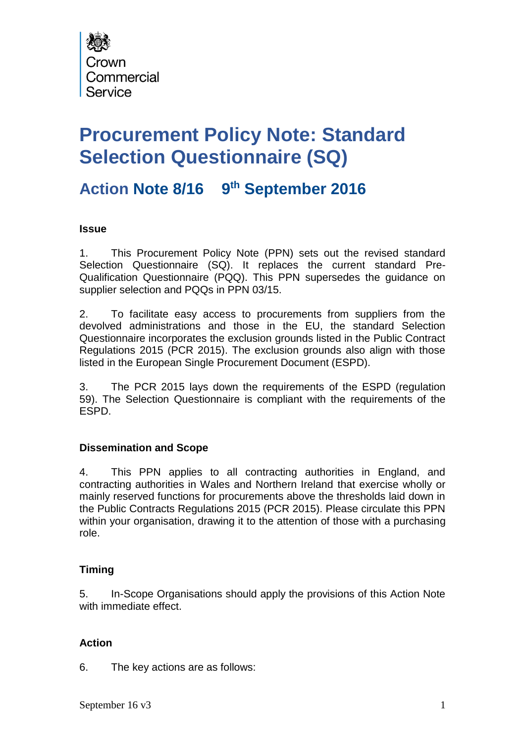

# **Procurement Policy Note: Standard Selection Questionnaire (SQ)**

# **Action Note 8/16 9 th September 2016**

## **Issue**

1. This Procurement Policy Note (PPN) sets out the revised standard Selection Questionnaire (SQ). It replaces the current standard Pre-Qualification Questionnaire (PQQ). This PPN supersedes the guidance on supplier selection and PQQs in PPN 03/15.

2. To facilitate easy access to procurements from suppliers from the devolved administrations and those in the EU, the standard Selection Questionnaire incorporates the exclusion grounds listed in the Public Contract Regulations 2015 (PCR 2015). The exclusion grounds also align with those listed in the European Single Procurement Document (ESPD).

3. The PCR 2015 lays down the requirements of the ESPD (regulation 59). The Selection Questionnaire is compliant with the requirements of the ESPD.

## **Dissemination and Scope**

4. This PPN applies to all contracting authorities in England, and contracting authorities in Wales and Northern Ireland that exercise wholly or mainly reserved functions for procurements above the thresholds laid down in the Public Contracts Regulations 2015 (PCR 2015). Please circulate this PPN within your organisation, drawing it to the attention of those with a purchasing role.

## **Timing**

5. In-Scope Organisations should apply the provisions of this Action Note with immediate effect.

## **Action**

6. The key actions are as follows: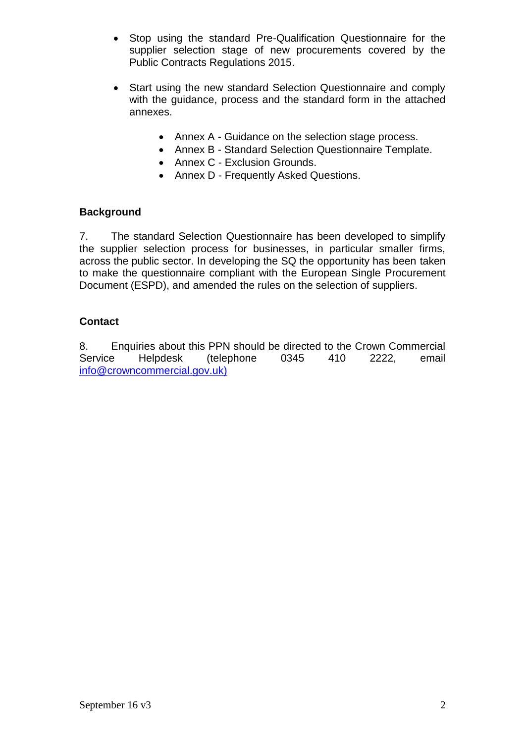- Stop using the standard Pre-Qualification Questionnaire for the supplier selection stage of new procurements covered by the Public Contracts Regulations 2015.
- Start using the new standard Selection Questionnaire and comply with the guidance, process and the standard form in the attached annexes.
	- Annex A Guidance on the selection stage process.
	- Annex B Standard Selection Questionnaire Template.
	- Annex C Exclusion Grounds.
	- Annex D Frequently Asked Questions.

## **Background**

7. The standard Selection Questionnaire has been developed to simplify the supplier selection process for businesses, in particular smaller firms, across the public sector. In developing the SQ the opportunity has been taken to make the questionnaire compliant with the European Single Procurement Document (ESPD), and amended the rules on the selection of suppliers.

## **Contact**

8. Enquiries about this PPN should be directed to the Crown Commercial Service Helpdesk (telephone 0345 410 2222, email info@crowncommercial.gov.uk)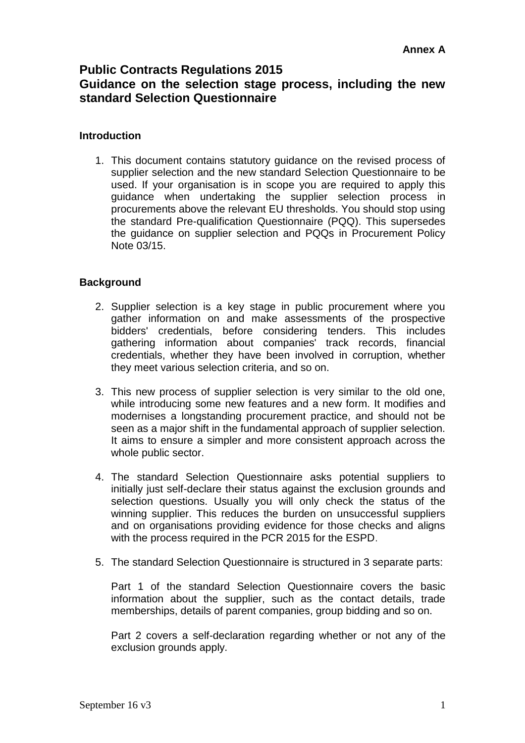## **Public Contracts Regulations 2015 Guidance on the selection stage process, including the new standard Selection Questionnaire**

## **Introduction**

1. This document contains statutory guidance on the revised process of supplier selection and the new standard Selection Questionnaire to be used. If your organisation is in scope you are required to apply this guidance when undertaking the supplier selection process in procurements above the relevant EU thresholds. You should stop using the standard Pre-qualification Questionnaire (PQQ). This supersedes the guidance on supplier selection and PQQs in Procurement Policy Note 03/15.

## **Background**

- 2. Supplier selection is a key stage in public procurement where you gather information on and make assessments of the prospective bidders' credentials, before considering tenders. This includes gathering information about companies' track records, financial credentials, whether they have been involved in corruption, whether they meet various selection criteria, and so on.
- 3. This new process of supplier selection is very similar to the old one, while introducing some new features and a new form. It modifies and modernises a longstanding procurement practice, and should not be seen as a major shift in the fundamental approach of supplier selection. It aims to ensure a simpler and more consistent approach across the whole public sector.
- 4. The standard Selection Questionnaire asks potential suppliers to initially just self-declare their status against the exclusion grounds and selection questions. Usually you will only check the status of the winning supplier. This reduces the burden on unsuccessful suppliers and on organisations providing evidence for those checks and aligns with the process required in the PCR 2015 for the ESPD.
- 5. The standard Selection Questionnaire is structured in 3 separate parts:

Part 1 of the standard Selection Questionnaire covers the basic information about the supplier, such as the contact details, trade memberships, details of parent companies, group bidding and so on.

Part 2 covers a self-declaration regarding whether or not any of the exclusion grounds apply.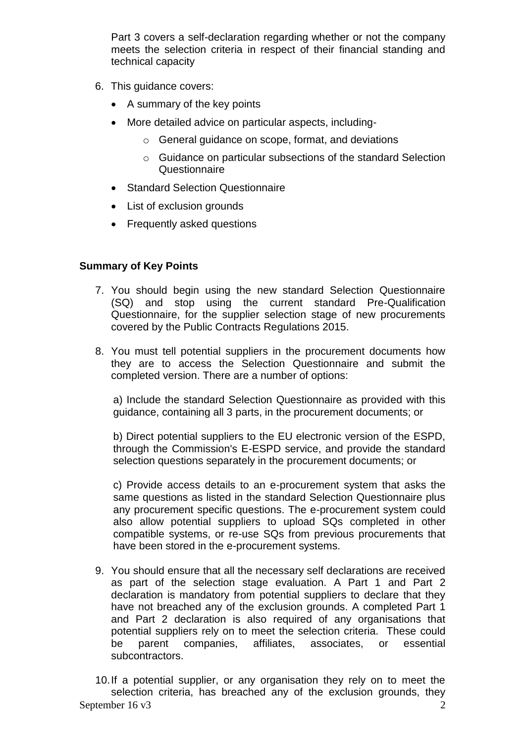Part 3 covers a self-declaration regarding whether or not the company meets the selection criteria in respect of their financial standing and technical capacity

- 6. This guidance covers:
	- A summary of the key points
	- More detailed advice on particular aspects, including
		- o General guidance on scope, format, and deviations
		- o Guidance on particular subsections of the standard Selection **Questionnaire**
	- Standard Selection Questionnaire
	- List of exclusion grounds
	- Frequently asked questions

## **Summary of Key Points**

- 7. You should begin using the new standard Selection Questionnaire (SQ) and stop using the current standard Pre-Qualification Questionnaire, for the supplier selection stage of new procurements covered by the Public Contracts Regulations 2015.
- 8. You must tell potential suppliers in the procurement documents how they are to access the Selection Questionnaire and submit the completed version. There are a number of options:

a) Include the standard Selection Questionnaire as provided with this guidance, containing all 3 parts, in the procurement documents; or

b) Direct potential suppliers to the EU electronic version of the ESPD, through the Commission's E-ESPD service, and provide the standard selection questions separately in the procurement documents; or

c) Provide access details to an e-procurement system that asks the same questions as listed in the standard Selection Questionnaire plus any procurement specific questions. The e-procurement system could also allow potential suppliers to upload SQs completed in other compatible systems, or re-use SQs from previous procurements that have been stored in the e-procurement systems.

9. You should ensure that all the necessary self declarations are received as part of the selection stage evaluation. A Part 1 and Part 2 declaration is mandatory from potential suppliers to declare that they have not breached any of the exclusion grounds. A completed Part 1 and Part 2 declaration is also required of any organisations that potential suppliers rely on to meet the selection criteria. These could be parent companies, affiliates, associates, or essential subcontractors.

September 16 v3 2 10.If a potential supplier, or any organisation they rely on to meet the selection criteria, has breached any of the exclusion grounds, they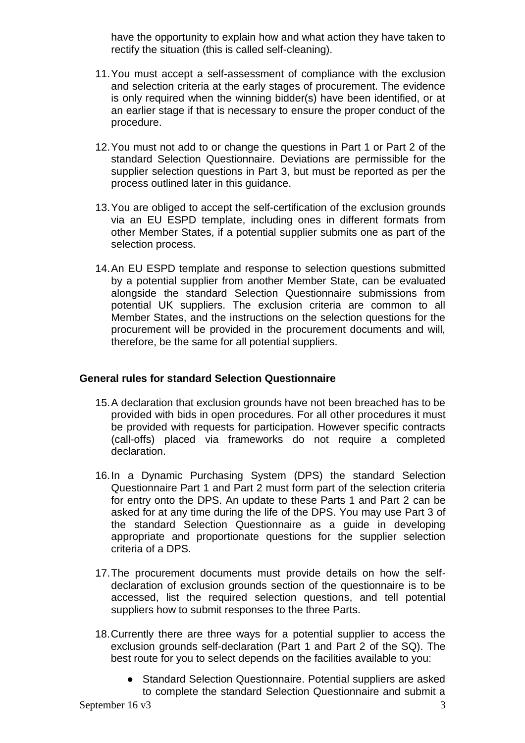have the opportunity to explain how and what action they have taken to rectify the situation (this is called self-cleaning).

- 11.You must accept a self-assessment of compliance with the exclusion and selection criteria at the early stages of procurement. The evidence is only required when the winning bidder(s) have been identified, or at an earlier stage if that is necessary to ensure the proper conduct of the procedure.
- 12.You must not add to or change the questions in Part 1 or Part 2 of the standard Selection Questionnaire. Deviations are permissible for the supplier selection questions in Part 3, but must be reported as per the process outlined later in this guidance.
- 13.You are obliged to accept the self-certification of the exclusion grounds via an EU ESPD template, including ones in different formats from other Member States, if a potential supplier submits one as part of the selection process.
- 14.An EU ESPD template and response to selection questions submitted by a potential supplier from another Member State, can be evaluated alongside the standard Selection Questionnaire submissions from potential UK suppliers. The exclusion criteria are common to all Member States, and the instructions on the selection questions for the procurement will be provided in the procurement documents and will, therefore, be the same for all potential suppliers.

## **General rules for standard Selection Questionnaire**

- 15.A declaration that exclusion grounds have not been breached has to be provided with bids in open procedures. For all other procedures it must be provided with requests for participation. However specific contracts (call-offs) placed via frameworks do not require a completed declaration.
- 16.In a Dynamic Purchasing System (DPS) the standard Selection Questionnaire Part 1 and Part 2 must form part of the selection criteria for entry onto the DPS. An update to these Parts 1 and Part 2 can be asked for at any time during the life of the DPS. You may use Part 3 of the standard Selection Questionnaire as a guide in developing appropriate and proportionate questions for the supplier selection criteria of a DPS.
- 17.The procurement documents must provide details on how the selfdeclaration of exclusion grounds section of the questionnaire is to be accessed, list the required selection questions, and tell potential suppliers how to submit responses to the three Parts.
- 18.Currently there are three ways for a potential supplier to access the exclusion grounds self-declaration (Part 1 and Part 2 of the SQ). The best route for you to select depends on the facilities available to you:
	- Standard Selection Questionnaire. Potential suppliers are asked to complete the standard Selection Questionnaire and submit a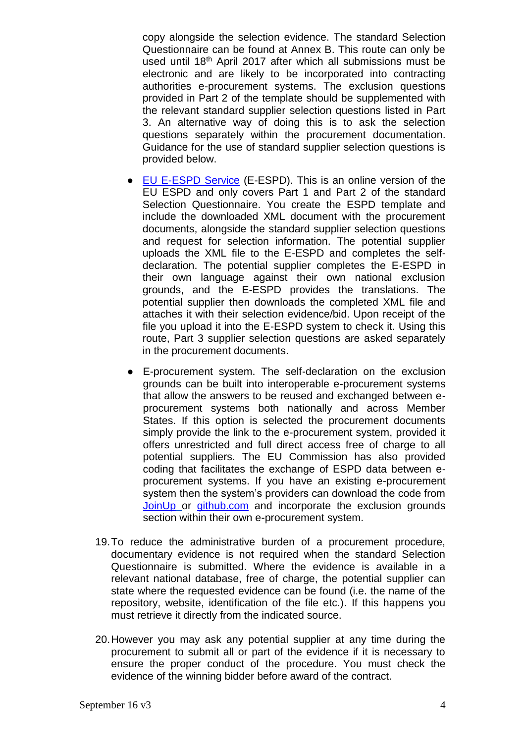copy alongside the selection evidence. The standard Selection Questionnaire can be found at Annex B. This route can only be used until 18<sup>th</sup> April 2017 after which all submissions must be electronic and are likely to be incorporated into contracting authorities e-procurement systems. The exclusion questions provided in Part 2 of the template should be supplemented with the relevant standard supplier selection questions listed in Part 3. An alternative way of doing this is to ask the selection questions separately within the procurement documentation. Guidance for the use of standard supplier selection questions is provided below.

- [EU E-ESPD Service](https://ec.europa.eu/tools/espd) (E-ESPD). This is an online version of the EU ESPD and only covers Part 1 and Part 2 of the standard Selection Questionnaire. You create the ESPD template and include the downloaded XML document with the procurement documents, alongside the standard supplier selection questions and request for selection information. The potential supplier uploads the XML file to the E-ESPD and completes the selfdeclaration. The potential supplier completes the E-ESPD in their own language against their own national exclusion grounds, and the E-ESPD provides the translations. The potential supplier then downloads the completed XML file and attaches it with their selection evidence/bid. Upon receipt of the file you upload it into the E-ESPD system to check it. Using this route, Part 3 supplier selection questions are asked separately in the procurement documents.
- E-procurement system. The self-declaration on the exclusion grounds can be built into interoperable e-procurement systems that allow the answers to be reused and exchanged between eprocurement systems both nationally and across Member States. If this option is selected the procurement documents simply provide the link to the e-procurement system, provided it offers unrestricted and full direct access free of charge to all potential suppliers. The EU Commission has also provided coding that facilitates the exchange of ESPD data between eprocurement systems. If you have an existing e-procurement system then the system's providers can download the code from [JoinUp](https://joinup.ec.europa.eu/asset/espd/home) or [github.com](https://github.com/ESPD/ESPD-Service) and incorporate the exclusion grounds section within their own e-procurement system.
- 19.To reduce the administrative burden of a procurement procedure, documentary evidence is not required when the standard Selection Questionnaire is submitted. Where the evidence is available in a relevant national database, free of charge, the potential supplier can state where the requested evidence can be found (i.e. the name of the repository, website, identification of the file etc.). If this happens you must retrieve it directly from the indicated source.
- 20.However you may ask any potential supplier at any time during the procurement to submit all or part of the evidence if it is necessary to ensure the proper conduct of the procedure. You must check the evidence of the winning bidder before award of the contract.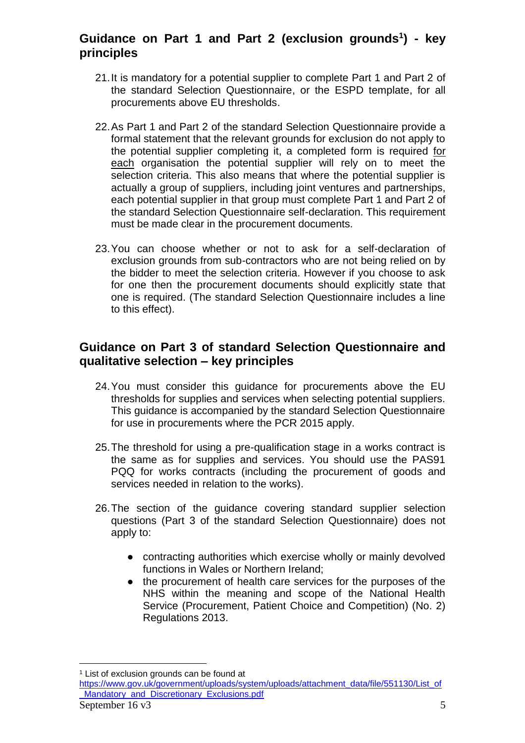## **Guidance on Part 1 and Part 2 (exclusion grounds<sup>1</sup> ) - key principles**

- 21.It is mandatory for a potential supplier to complete Part 1 and Part 2 of the standard Selection Questionnaire, or the ESPD template, for all procurements above EU thresholds.
- 22.As Part 1 and Part 2 of the standard Selection Questionnaire provide a formal statement that the relevant grounds for exclusion do not apply to the potential supplier completing it, a completed form is required for each organisation the potential supplier will rely on to meet the selection criteria. This also means that where the potential supplier is actually a group of suppliers, including joint ventures and partnerships, each potential supplier in that group must complete Part 1 and Part 2 of the standard Selection Questionnaire self-declaration. This requirement must be made clear in the procurement documents.
- 23.You can choose whether or not to ask for a self-declaration of exclusion grounds from sub-contractors who are not being relied on by the bidder to meet the selection criteria. However if you choose to ask for one then the procurement documents should explicitly state that one is required. (The standard Selection Questionnaire includes a line to this effect).

## **Guidance on Part 3 of standard Selection Questionnaire and qualitative selection – key principles**

- 24.You must consider this guidance for procurements above the EU thresholds for supplies and services when selecting potential suppliers. This guidance is accompanied by the standard Selection Questionnaire for use in procurements where the PCR 2015 apply.
- 25.The threshold for using a pre-qualification stage in a works contract is the same as for supplies and services. You should use the PAS91 PQQ for works contracts (including the procurement of goods and services needed in relation to the works).
- 26.The section of the guidance covering standard supplier selection questions (Part 3 of the standard Selection Questionnaire) does not apply to:
	- contracting authorities which exercise wholly or mainly devolved functions in Wales or Northern Ireland;
	- the procurement of health care services for the purposes of the NHS within the meaning and scope of the National Health Service (Procurement, Patient Choice and Competition) (No. 2) Regulations 2013.

 $\overline{a}$ <sup>1</sup> List of exclusion grounds can be found at

September  $16 \text{ v}3$  5 [https://www.gov.uk/government/uploads/system/uploads/attachment\\_data/file/551130/List\\_of](https://www.gov.uk/government/uploads/system/uploads/attachment_data/file/551130/List_of_Mandatory_and_Discretionary_Exclusions.pdf) [\\_Mandatory\\_and\\_Discretionary\\_Exclusions.pdf](https://www.gov.uk/government/uploads/system/uploads/attachment_data/file/551130/List_of_Mandatory_and_Discretionary_Exclusions.pdf)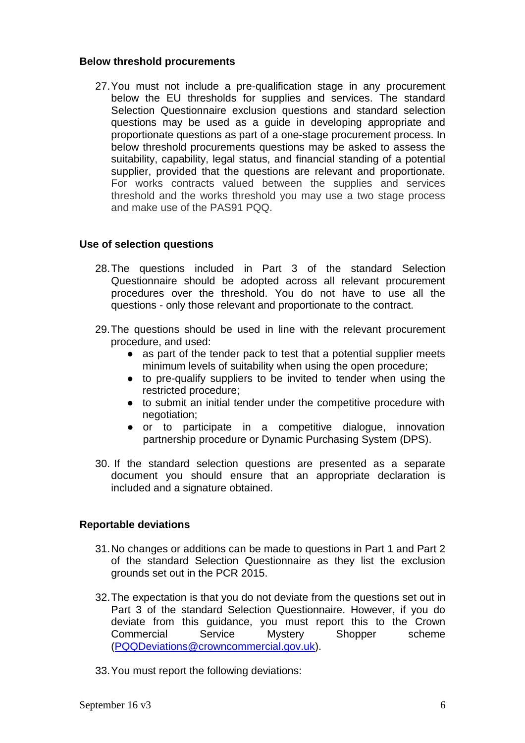#### **Below threshold procurements**

27.You must not include a pre-qualification stage in any procurement below the EU thresholds for supplies and services. The standard Selection Questionnaire exclusion questions and standard selection questions may be used as a guide in developing appropriate and proportionate questions as part of a one-stage procurement process. In below threshold procurements questions may be asked to assess the suitability, capability, legal status, and financial standing of a potential supplier, provided that the questions are relevant and proportionate. For works contracts valued between the supplies and services threshold and the works threshold you may use a two stage process and make use of the PAS91 PQQ.

## **Use of selection questions**

- 28.The questions included in Part 3 of the standard Selection Questionnaire should be adopted across all relevant procurement procedures over the threshold. You do not have to use all the questions - only those relevant and proportionate to the contract.
- 29.The questions should be used in line with the relevant procurement procedure, and used:
	- as part of the tender pack to test that a potential supplier meets minimum levels of suitability when using the open procedure;
	- to pre-qualify suppliers to be invited to tender when using the restricted procedure;
	- to submit an initial tender under the competitive procedure with negotiation;
	- or to participate in a competitive dialogue, innovation partnership procedure or Dynamic Purchasing System (DPS).
- 30. If the standard selection questions are presented as a separate document you should ensure that an appropriate declaration is included and a signature obtained.

## **Reportable deviations**

- 31.No changes or additions can be made to questions in Part 1 and Part 2 of the standard Selection Questionnaire as they list the exclusion grounds set out in the PCR 2015.
- 32.The expectation is that you do not deviate from the questions set out in Part 3 of the standard Selection Questionnaire. However, if you do deviate from this guidance, you must report this to the Crown Commercial Service Mystery Shopper scheme [\(PQQDeviations@crowncommercial.gov.uk\)](mailto:PQQDeviations@crowncommercial.gov.uk?subject=Report%20of%20deviations%20to%20Part%20III%20of%20standard%20Selection%20Questionnaire).
- 33.You must report the following deviations: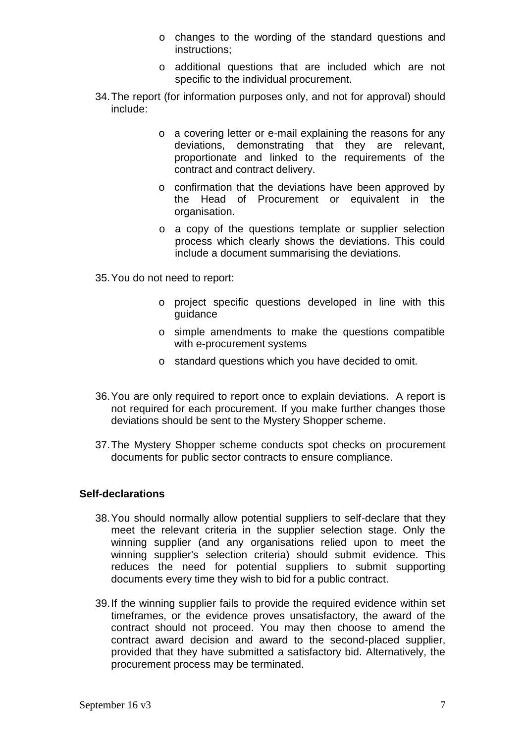- o changes to the wording of the standard questions and instructions;
- o additional questions that are included which are not specific to the individual procurement.
- 34.The report (for information purposes only, and not for approval) should include:
	- o a covering letter or e-mail explaining the reasons for any deviations, demonstrating that they are relevant, proportionate and linked to the requirements of the contract and contract delivery.
	- o confirmation that the deviations have been approved by the Head of Procurement or equivalent in the organisation.
	- o a copy of the questions template or supplier selection process which clearly shows the deviations. This could include a document summarising the deviations.
- 35.You do not need to report:
	- o project specific questions developed in line with this guidance
	- o simple amendments to make the questions compatible with e-procurement systems
	- o standard questions which you have decided to omit.
- 36.You are only required to report once to explain deviations. A report is not required for each procurement. If you make further changes those deviations should be sent to the Mystery Shopper scheme.
- 37.The Mystery Shopper scheme conducts spot checks on procurement documents for public sector contracts to ensure compliance.

## **Self-declarations**

- 38.You should normally allow potential suppliers to self-declare that they meet the relevant criteria in the supplier selection stage. Only the winning supplier (and any organisations relied upon to meet the winning supplier's selection criteria) should submit evidence. This reduces the need for potential suppliers to submit supporting documents every time they wish to bid for a public contract.
- 39.If the winning supplier fails to provide the required evidence within set timeframes, or the evidence proves unsatisfactory, the award of the contract should not proceed. You may then choose to amend the contract award decision and award to the second-placed supplier, provided that they have submitted a satisfactory bid. Alternatively, the procurement process may be terminated.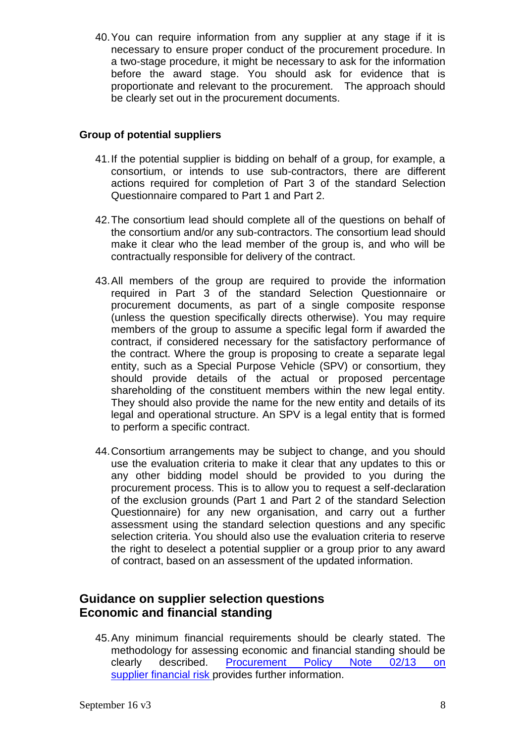40.You can require information from any supplier at any stage if it is necessary to ensure proper conduct of the procurement procedure. In a two-stage procedure, it might be necessary to ask for the information before the award stage. You should ask for evidence that is proportionate and relevant to the procurement. The approach should be clearly set out in the procurement documents.

## **Group of potential suppliers**

- 41.If the potential supplier is bidding on behalf of a group, for example, a consortium, or intends to use sub-contractors, there are different actions required for completion of Part 3 of the standard Selection Questionnaire compared to Part 1 and Part 2.
- 42.The consortium lead should complete all of the questions on behalf of the consortium and/or any sub-contractors. The consortium lead should make it clear who the lead member of the group is, and who will be contractually responsible for delivery of the contract.
- 43.All members of the group are required to provide the information required in Part 3 of the standard Selection Questionnaire or procurement documents, as part of a single composite response (unless the question specifically directs otherwise). You may require members of the group to assume a specific legal form if awarded the contract, if considered necessary for the satisfactory performance of the contract. Where the group is proposing to create a separate legal entity, such as a Special Purpose Vehicle (SPV) or consortium, they should provide details of the actual or proposed percentage shareholding of the constituent members within the new legal entity. They should also provide the name for the new entity and details of its legal and operational structure. An SPV is a legal entity that is formed to perform a specific contract.
- 44.Consortium arrangements may be subject to change, and you should use the evaluation criteria to make it clear that any updates to this or any other bidding model should be provided to you during the procurement process. This is to allow you to request a self-declaration of the exclusion grounds (Part 1 and Part 2 of the standard Selection Questionnaire) for any new organisation, and carry out a further assessment using the standard selection questions and any specific selection criteria. You should also use the evaluation criteria to reserve the right to deselect a potential supplier or a group prior to any award of contract, based on an assessment of the updated information.

## **Guidance on supplier selection questions Economic and financial standing**

45.Any minimum financial requirements should be clearly stated. The methodology for assessing economic and financial standing should be clearly described. [Procurement Policy Note 02/13 on](https://www.gov.uk/government/collections/procurement-policy-notes)  supplier [financial](https://www.gov.uk/government/collections/procurement-policy-notes) risk provides further information.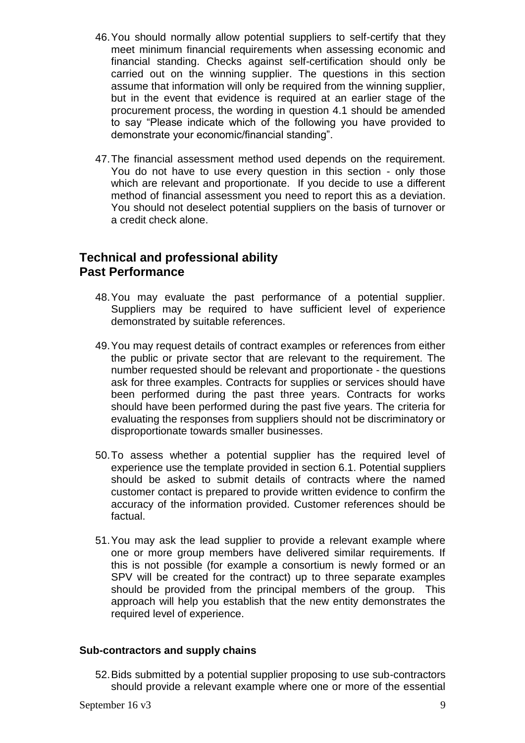- 46.You should normally allow potential suppliers to self-certify that they meet minimum financial requirements when assessing economic and financial standing. Checks against self-certification should only be carried out on the winning supplier. The questions in this section assume that information will only be required from the winning supplier, but in the event that evidence is required at an earlier stage of the procurement process, the wording in question 4.1 should be amended to say "Please indicate which of the following you have provided to demonstrate your economic/financial standing".
- 47.The financial assessment method used depends on the requirement. You do not have to use every question in this section - only those which are relevant and proportionate. If you decide to use a different method of financial assessment you need to report this as a deviation. You should not deselect potential suppliers on the basis of turnover or a credit check alone.

## **Technical and professional ability Past Performance**

- 48.You may evaluate the past performance of a potential supplier. Suppliers may be required to have sufficient level of experience demonstrated by suitable references.
- 49.You may request details of contract examples or references from either the public or private sector that are relevant to the requirement. The number requested should be relevant and proportionate - the questions ask for three examples. Contracts for supplies or services should have been performed during the past three years. Contracts for works should have been performed during the past five years. The criteria for evaluating the responses from suppliers should not be discriminatory or disproportionate towards smaller businesses.
- 50.To assess whether a potential supplier has the required level of experience use the template provided in section 6.1. Potential suppliers should be asked to submit details of contracts where the named customer contact is prepared to provide written evidence to confirm the accuracy of the information provided. Customer references should be factual.
- 51.You may ask the lead supplier to provide a relevant example where one or more group members have delivered similar requirements. If this is not possible (for example a consortium is newly formed or an SPV will be created for the contract) up to three separate examples should be provided from the principal members of the group. This approach will help you establish that the new entity demonstrates the required level of experience.

#### **Sub-contractors and supply chains**

52.Bids submitted by a potential supplier proposing to use sub-contractors should provide a relevant example where one or more of the essential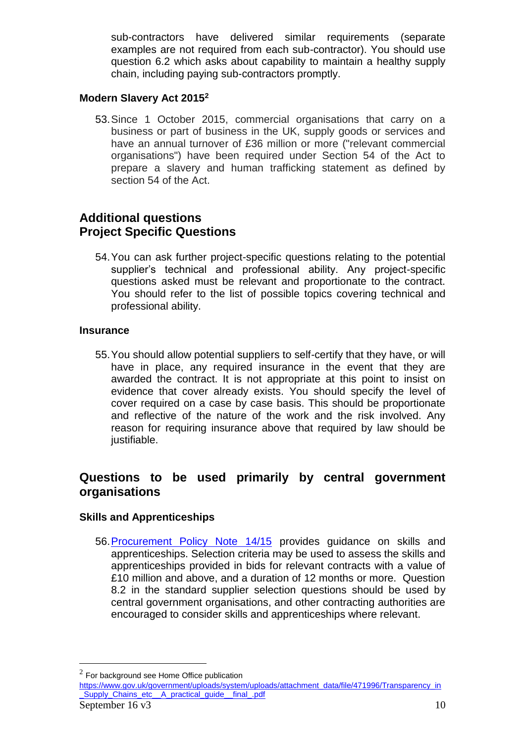sub-contractors have delivered similar requirements (separate examples are not required from each sub-contractor). You should use question 6.2 which asks about capability to maintain a healthy supply chain, including paying sub-contractors promptly.

## **Modern Slavery Act 2015<sup>2</sup>**

53.Since 1 October 2015, commercial organisations that carry on a business or part of business in the UK, supply goods or services and have an annual turnover of £36 million or more ("relevant commercial organisations") have been required under Section 54 of the Act to prepare a slavery and human trafficking statement as defined by section 54 of the Act.

## **Additional questions Project Specific Questions**

54.You can ask further project-specific questions relating to the potential supplier's technical and professional ability. Any project-specific questions asked must be relevant and proportionate to the contract. You should refer to the list of possible topics covering technical and professional ability.

## **Insurance**

55.You should allow potential suppliers to self-certify that they have, or will have in place, any required insurance in the event that they are awarded the contract. It is not appropriate at this point to insist on evidence that cover already exists. You should specify the level of cover required on a case by case basis. This should be proportionate and reflective of the nature of the work and the risk involved. Any reason for requiring insurance above that required by law should be justifiable.

## **Questions to be used primarily by central government organisations**

## **Skills and Apprenticeships**

56[.Procurement Policy Note 14/15](https://www.gov.uk/government/collections/procurement-policy-notes) provides guidance on skills and apprenticeships. Selection criteria may be used to assess the skills and apprenticeships provided in bids for relevant contracts with a value of £10 million and above, and a duration of 12 months or more. Question 8.2 in the standard supplier selection questions should be used by central government organisations, and other contracting authorities are encouraged to consider skills and apprenticeships where relevant.

 $\overline{a}$ 

 $2$  For background see Home Office publication

September  $16 \text{ v}3$  10 [https://www.gov.uk/government/uploads/system/uploads/attachment\\_data/file/471996/Transparency\\_in](https://www.gov.uk/government/uploads/system/uploads/attachment_data/file/471996/Transparency_in_Supply_Chains_etc__A_practical_guide__final_.pdf) Supply Chains etc A practical quide final .pdf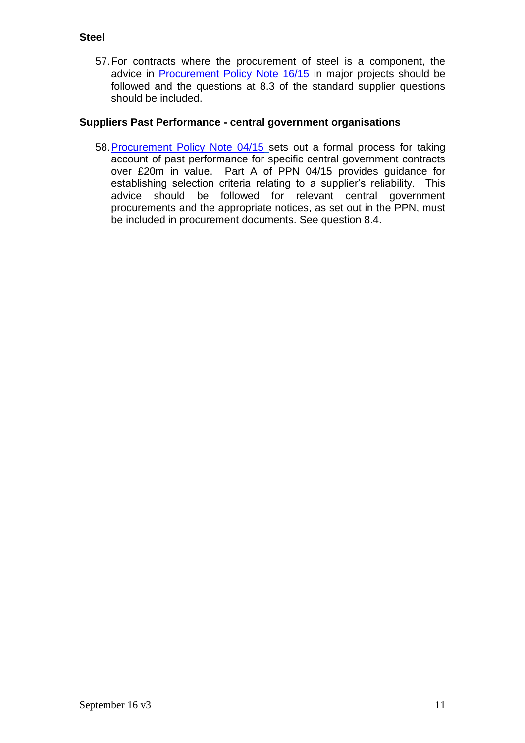57.For contracts where the procurement of steel is a component, the advice in **[Procurement Policy Note 16/15](https://www.gov.uk/government/collections/procurement-policy-notes)** in major projects should be followed and the questions at 8.3 of the standard supplier questions should be included.

## **Suppliers Past Performance - central government organisations**

58. Procurement Policy Note 04/15 sets out a formal process for taking account of past performance for specific central government contracts over £20m in value. Part A of PPN 04/15 provides guidance for establishing selection criteria relating to a supplier's reliability. This advice should be followed for relevant central government procurements and the appropriate notices, as set out in the PPN, must be included in procurement documents. See question 8.4.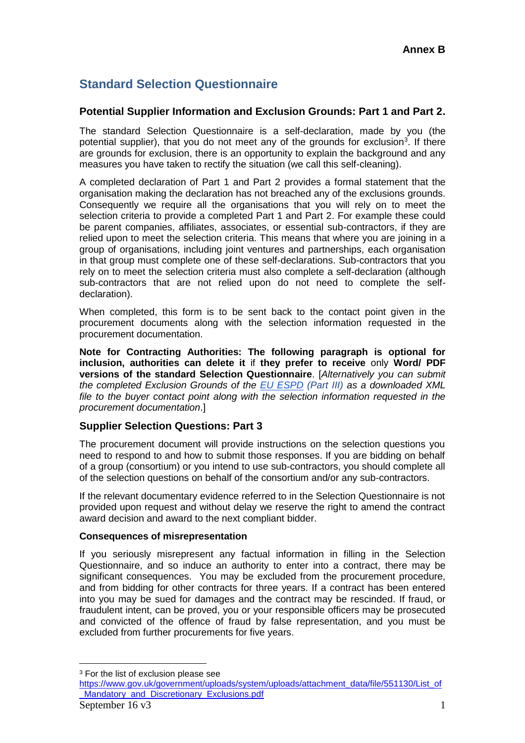## **Standard Selection Questionnaire**

## **Potential Supplier Information and Exclusion Grounds: Part 1 and Part 2.**

The standard Selection Questionnaire is a self-declaration, made by you (the potential supplier), that you do not meet any of the grounds for exclusion<sup>3</sup>. If there are grounds for exclusion, there is an opportunity to explain the background and any measures you have taken to rectify the situation (we call this self-cleaning).

A completed declaration of Part 1 and Part 2 provides a formal statement that the organisation making the declaration has not breached any of the exclusions grounds. Consequently we require all the organisations that you will rely on to meet the selection criteria to provide a completed Part 1 and Part 2. For example these could be parent companies, affiliates, associates, or essential sub-contractors, if they are relied upon to meet the selection criteria. This means that where you are joining in a group of organisations, including joint ventures and partnerships, each organisation in that group must complete one of these self-declarations. Sub-contractors that you rely on to meet the selection criteria must also complete a self-declaration (although sub-contractors that are not relied upon do not need to complete the selfdeclaration).

When completed, this form is to be sent back to the contact point given in the procurement documents along with the selection information requested in the procurement documentation.

**Note for Contracting Authorities: The following paragraph is optional for inclusion, authorities can delete it** if **they prefer to receive** only **Word/ PDF versions of the standard Selection Questionnaire**. [*Alternatively you can submit the completed Exclusion Grounds of the [EU ESPD](https://ec.europa.eu/tools/espd) (Part III) as a downloaded XML file to the buyer contact point along with the selection information requested in the procurement documentation*.]

## **Supplier Selection Questions: Part 3**

The procurement document will provide instructions on the selection questions you need to respond to and how to submit those responses. If you are bidding on behalf of a group (consortium) or you intend to use sub-contractors, you should complete all of the selection questions on behalf of the consortium and/or any sub-contractors.

If the relevant documentary evidence referred to in the Selection Questionnaire is not provided upon request and without delay we reserve the right to amend the contract award decision and award to the next compliant bidder.

#### **Consequences of misrepresentation**

If you seriously misrepresent any factual information in filling in the Selection Questionnaire, and so induce an authority to enter into a contract, there may be significant consequences. You may be excluded from the procurement procedure, and from bidding for other contracts for three years. If a contract has been entered into you may be sued for damages and the contract may be rescinded. If fraud, or fraudulent intent, can be proved, you or your responsible officers may be prosecuted and convicted of the offence of fraud by false representation, and you must be excluded from further procurements for five years.

 $\overline{a}$ 

<sup>&</sup>lt;sup>3</sup> For the list of exclusion please see

[https://www.gov.uk/government/uploads/system/uploads/attachment\\_data/file/551130/List\\_of](https://www.gov.uk/government/uploads/system/uploads/attachment_data/file/551130/List_of_Mandatory_and_Discretionary_Exclusions.pdf) [\\_Mandatory\\_and\\_Discretionary\\_Exclusions.pdf](https://www.gov.uk/government/uploads/system/uploads/attachment_data/file/551130/List_of_Mandatory_and_Discretionary_Exclusions.pdf)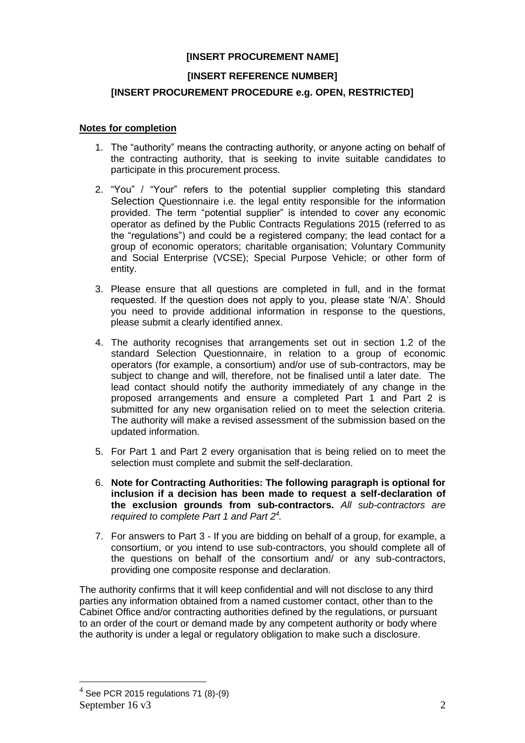#### **[INSERT PROCUREMENT NAME]**

#### **[INSERT REFERENCE NUMBER]**

#### **[INSERT PROCUREMENT PROCEDURE e.g. OPEN, RESTRICTED]**

#### **Notes for completion**

- 1. The "authority" means the contracting authority, or anyone acting on behalf of the contracting authority, that is seeking to invite suitable candidates to participate in this procurement process.
- 2. "You" / "Your" refers to the potential supplier completing this standard Selection Questionnaire i.e. the legal entity responsible for the information provided. The term "potential supplier" is intended to cover any economic operator as defined by the Public Contracts Regulations 2015 (referred to as the "regulations") and could be a registered company; the lead contact for a group of economic operators; charitable organisation; Voluntary Community and Social Enterprise (VCSE); Special Purpose Vehicle; or other form of entity.
- 3. Please ensure that all questions are completed in full, and in the format requested. If the question does not apply to you, please state 'N/A'. Should you need to provide additional information in response to the questions, please submit a clearly identified annex.
- 4. The authority recognises that arrangements set out in section 1.2 of the standard Selection Questionnaire, in relation to a group of economic operators (for example, a consortium) and/or use of sub-contractors, may be subject to change and will, therefore, not be finalised until a later date. The lead contact should notify the authority immediately of any change in the proposed arrangements and ensure a completed Part 1 and Part 2 is submitted for any new organisation relied on to meet the selection criteria. The authority will make a revised assessment of the submission based on the updated information.
- 5. For Part 1 and Part 2 every organisation that is being relied on to meet the selection must complete and submit the self-declaration.
- 6. **Note for Contracting Authorities: The following paragraph is optional for inclusion if a decision has been made to request a self-declaration of the exclusion grounds from sub-contractors.** *All sub-contractors are required to complete Part 1 and Part 2<sup>4</sup> .*
- 7. For answers to Part 3 If you are bidding on behalf of a group, for example, a consortium, or you intend to use sub-contractors, you should complete all of the questions on behalf of the consortium and/ or any sub-contractors, providing one composite response and declaration.

The authority confirms that it will keep confidential and will not disclose to any third parties any information obtained from a named customer contact, other than to the Cabinet Office and/or contracting authorities defined by the regulations, or pursuant to an order of the court or demand made by any competent authority or body where the authority is under a legal or regulatory obligation to make such a disclosure.

 $\overline{a}$ 

September 16  $\mathrm{v}3$  2  $4$  See PCR 2015 regulations 71 (8)-(9)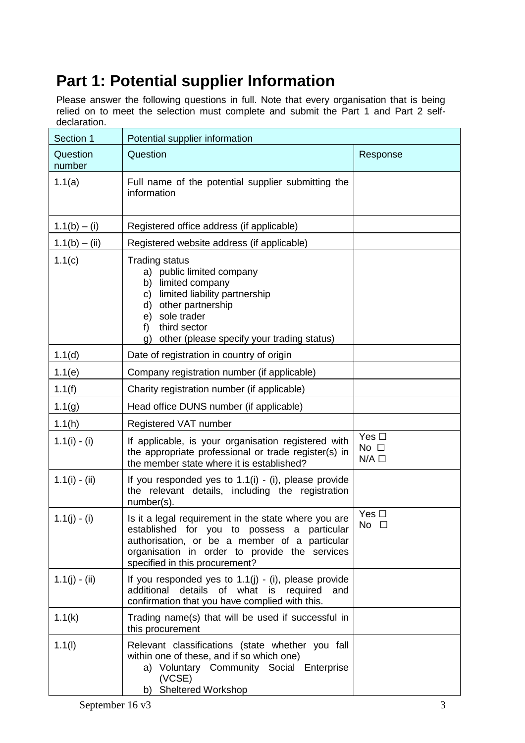# **Part 1: Potential supplier Information**

Please answer the following questions in full. Note that every organisation that is being relied on to meet the selection must complete and submit the Part 1 and Part 2 selfdeclaration.

| Section 1          | Potential supplier information                                                                                                                                                                                                                           |                                               |  |  |
|--------------------|----------------------------------------------------------------------------------------------------------------------------------------------------------------------------------------------------------------------------------------------------------|-----------------------------------------------|--|--|
| Question<br>number | Question                                                                                                                                                                                                                                                 | Response                                      |  |  |
| 1.1(a)             | Full name of the potential supplier submitting the<br>information                                                                                                                                                                                        |                                               |  |  |
| $1.1(b) - (i)$     | Registered office address (if applicable)                                                                                                                                                                                                                |                                               |  |  |
| $1.1(b) - (ii)$    | Registered website address (if applicable)                                                                                                                                                                                                               |                                               |  |  |
| 1.1(c)             | <b>Trading status</b><br>public limited company<br>a)<br>limited company<br>b)<br>limited liability partnership<br>C)<br>other partnership<br>d)<br>sole trader<br>e)<br>third sector<br>f<br>$\mathbf{q}$<br>other (please specify your trading status) |                                               |  |  |
| 1.1(d)             | Date of registration in country of origin                                                                                                                                                                                                                |                                               |  |  |
| 1.1(e)             | Company registration number (if applicable)                                                                                                                                                                                                              |                                               |  |  |
| 1.1(f)             | Charity registration number (if applicable)                                                                                                                                                                                                              |                                               |  |  |
| 1.1(g)             | Head office DUNS number (if applicable)                                                                                                                                                                                                                  |                                               |  |  |
| 1.1(h)             | Registered VAT number                                                                                                                                                                                                                                    |                                               |  |  |
| $1.1(i) - (i)$     | If applicable, is your organisation registered with<br>the appropriate professional or trade register(s) in<br>the member state where it is established?                                                                                                 | Yes $\Box$<br>No $\square$<br>$N/A$ $\square$ |  |  |
| $1.1(i) - (ii)$    | If you responded yes to $1.1(i)$ - (i), please provide<br>the relevant details, including the registration<br>number(s).                                                                                                                                 |                                               |  |  |
| $1.1(j) - (i)$     | Is it a legal requirement in the state where you are<br>established for you to possess a particular<br>authorisation, or be a member of a particular<br>organisation in order to provide the services<br>specified in this procurement?                  | Yes $\Box$<br>No $\square$                    |  |  |
| $1.1(j) - (ii)$    | If you responded yes to $1.1(j)$ - (i), please provide<br>additional details of what is required<br>and<br>confirmation that you have complied with this.                                                                                                |                                               |  |  |
| 1.1(k)             | Trading name(s) that will be used if successful in<br>this procurement                                                                                                                                                                                   |                                               |  |  |
| 1.1(1)             | Relevant classifications (state whether you fall<br>within one of these, and if so which one)<br>a) Voluntary Community Social Enterprise<br>(VCSE)<br><b>Sheltered Workshop</b><br>b)                                                                   |                                               |  |  |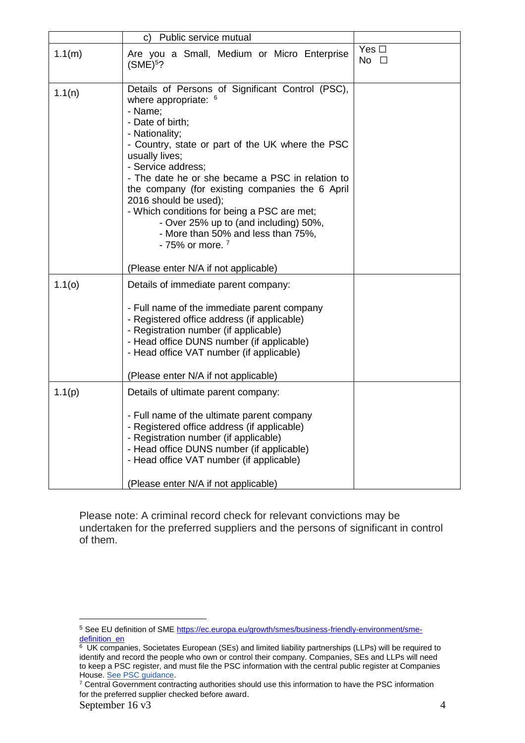|        | Public service mutual<br>C)                                                                                                                                                                                                                                                                                                                                                                                                                                                                                  |                            |
|--------|--------------------------------------------------------------------------------------------------------------------------------------------------------------------------------------------------------------------------------------------------------------------------------------------------------------------------------------------------------------------------------------------------------------------------------------------------------------------------------------------------------------|----------------------------|
| 1.1(m) | Are you a Small, Medium or Micro Enterprise<br>$(SME)^5$ ?                                                                                                                                                                                                                                                                                                                                                                                                                                                   | Yes $\Box$<br>No $\square$ |
| 1.1(n) | Details of Persons of Significant Control (PSC),<br>where appropriate: $6$<br>- Name;<br>- Date of birth;<br>- Nationality;<br>- Country, state or part of the UK where the PSC<br>usually lives;<br>- Service address;<br>- The date he or she became a PSC in relation to<br>the company (for existing companies the 6 April<br>2016 should be used);<br>- Which conditions for being a PSC are met;<br>- Over 25% up to (and including) 50%,<br>- More than 50% and less than 75%,<br>$-75%$ or more. $7$ |                            |
|        | (Please enter N/A if not applicable)                                                                                                                                                                                                                                                                                                                                                                                                                                                                         |                            |
| 1.1(0) | Details of immediate parent company:<br>- Full name of the immediate parent company<br>- Registered office address (if applicable)<br>- Registration number (if applicable)<br>- Head office DUNS number (if applicable)<br>- Head office VAT number (if applicable)<br>(Please enter N/A if not applicable)                                                                                                                                                                                                 |                            |
| 1.1(p) | Details of ultimate parent company:<br>- Full name of the ultimate parent company<br>- Registered office address (if applicable)<br>- Registration number (if applicable)<br>- Head office DUNS number (if applicable)<br>- Head office VAT number (if applicable)<br>(Please enter N/A if not applicable)                                                                                                                                                                                                   |                            |

Please note: A criminal record check for relevant convictions may be undertaken for the preferred suppliers and the persons of significant in control of them.

 $\overline{a}$ 

<sup>5</sup> See EU definition of SME [https://ec.europa.eu/growth/smes/business-friendly-environment/sme](https://ec.europa.eu/growth/smes/business-friendly-environment/sme-definition_en)<mark>[definition\\_en](https://ec.europa.eu/growth/smes/business-friendly-environment/sme-definition_en)</mark><br><sup>6</sup> UK companies, Societates European (SEs) and limited liability partnerships (LLPs) will be required to

identify and record the people who own or control their company. Companies, SEs and LLPs will need to keep a PSC register, and must file the PSC information with the central public register at Companies House. [See PSC guidance.](https://www.gov.uk/government/publications/guidance-to-the-people-with-significant-control-requirements-for-companies-and-limited-liability-partnerships)

<sup>&</sup>lt;sup>7</sup> Central Government contracting authorities should use this information to have the PSC information for the preferred supplier checked before award.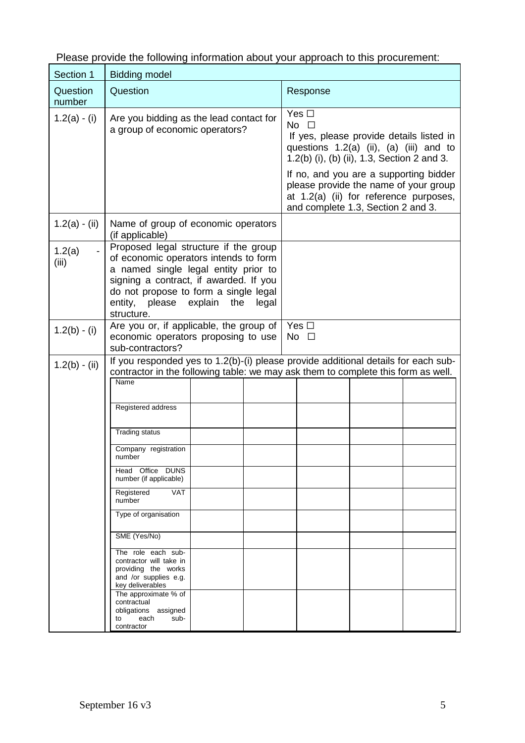| Section 1          | <b>Bidding model</b>                                                                                                                                                                                                                                                                                                                                                                                                                      |                                                                                                                                                                                                                |  |  |
|--------------------|-------------------------------------------------------------------------------------------------------------------------------------------------------------------------------------------------------------------------------------------------------------------------------------------------------------------------------------------------------------------------------------------------------------------------------------------|----------------------------------------------------------------------------------------------------------------------------------------------------------------------------------------------------------------|--|--|
| Question<br>number | Question                                                                                                                                                                                                                                                                                                                                                                                                                                  | Response                                                                                                                                                                                                       |  |  |
| $1.2(a) - (i)$     | Are you bidding as the lead contact for<br>a group of economic operators?                                                                                                                                                                                                                                                                                                                                                                 | Yes $\Box$<br>No $\square$<br>If yes, please provide details listed in<br>questions $1.2(a)$ (ii), $(a)$ (iii) and to<br>1.2(b) (i), (b) (ii), 1.3, Section 2 and 3.<br>If no, and you are a supporting bidder |  |  |
|                    |                                                                                                                                                                                                                                                                                                                                                                                                                                           | please provide the name of your group<br>at 1.2(a) (ii) for reference purposes,<br>and complete 1.3, Section 2 and 3.                                                                                          |  |  |
| $1.2(a) - (ii)$    | Name of group of economic operators<br>(if applicable)                                                                                                                                                                                                                                                                                                                                                                                    |                                                                                                                                                                                                                |  |  |
| 1.2(a)<br>(iii)    | Proposed legal structure if the group<br>of economic operators intends to form<br>a named single legal entity prior to<br>signing a contract, if awarded. If you<br>do not propose to form a single legal<br>entity, please explain the<br>legal<br>structure.                                                                                                                                                                            |                                                                                                                                                                                                                |  |  |
| $1.2(b) - (i)$     | Are you or, if applicable, the group of<br>Yes $\Box$<br>economic operators proposing to use<br>No $\square$<br>sub-contractors?                                                                                                                                                                                                                                                                                                          |                                                                                                                                                                                                                |  |  |
| $1.2(b) - (ii)$    | Name<br>Registered address<br><b>Trading status</b><br>Company registration<br>number<br>Head Office DUNS<br>number (if applicable)<br><b>VAT</b><br>Registered<br>number<br>Type of organisation<br>SME (Yes/No)<br>The role each sub-<br>contractor will take in<br>providing the works<br>and /or supplies e.g.<br>key deliverables<br>The approximate % of<br>contractual<br>obligations assigned<br>sub-<br>each<br>to<br>contractor | If you responded yes to 1.2(b)-(i) please provide additional details for each sub-<br>contractor in the following table: we may ask them to complete this form as well.                                        |  |  |

Please provide the following information about your approach to this procurement:

 $\overline{\phantom{a}}$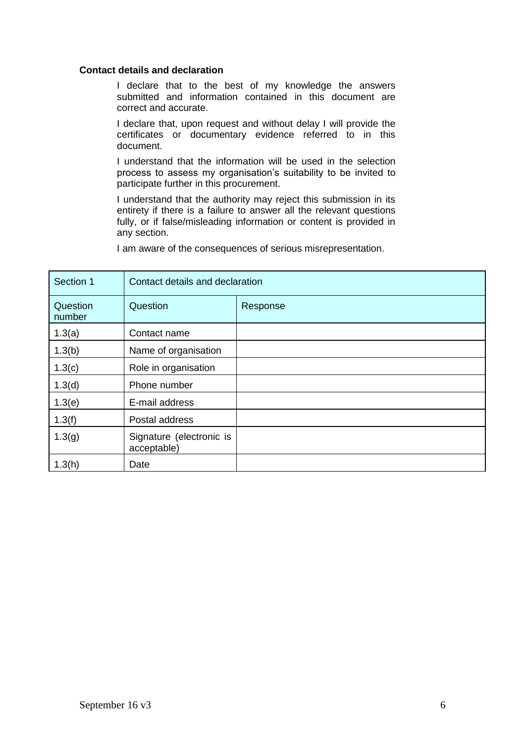#### **Contact details and declaration**

I declare that to the best of my knowledge the answers submitted and information contained in this document are correct and accurate.

I declare that, upon request and without delay I will provide the certificates or documentary evidence referred to in this document.

I understand that the information will be used in the selection process to assess my organisation's suitability to be invited to participate further in this procurement.

I understand that the authority may reject this submission in its entirety if there is a failure to answer all the relevant questions fully, or if false/misleading information or content is provided in any section.

| Section 1          | Contact details and declaration         |          |  |
|--------------------|-----------------------------------------|----------|--|
| Question<br>number | Question                                | Response |  |
| 1.3(a)             | Contact name                            |          |  |
| 1.3(b)             | Name of organisation                    |          |  |
| 1.3(c)             | Role in organisation                    |          |  |
| 1.3(d)             | Phone number                            |          |  |
| 1.3(e)             | E-mail address                          |          |  |
| 1.3(f)             | Postal address                          |          |  |
| 1.3(g)             | Signature (electronic is<br>acceptable) |          |  |
| 1.3(h)             | Date                                    |          |  |

I am aware of the consequences of serious misrepresentation.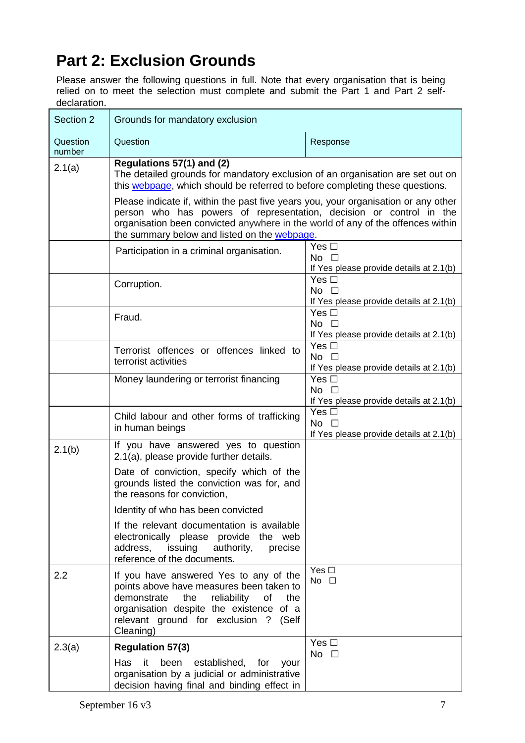# **Part 2: Exclusion Grounds**

Please answer the following questions in full. Note that every organisation that is being relied on to meet the selection must complete and submit the Part 1 and Part 2 selfdeclaration.

| Section 2          | Grounds for mandatory exclusion                                                                                                                                                                                                                                                                                                                                                                                                             |                                                                          |  |
|--------------------|---------------------------------------------------------------------------------------------------------------------------------------------------------------------------------------------------------------------------------------------------------------------------------------------------------------------------------------------------------------------------------------------------------------------------------------------|--------------------------------------------------------------------------|--|
| Question<br>number | Question                                                                                                                                                                                                                                                                                                                                                                                                                                    | Response                                                                 |  |
| 2.1(a)             | Regulations 57(1) and (2)<br>The detailed grounds for mandatory exclusion of an organisation are set out on<br>this webpage, which should be referred to before completing these questions.<br>Please indicate if, within the past five years you, your organisation or any other<br>person who has powers of representation, decision or control in the<br>organisation been convicted anywhere in the world of any of the offences within |                                                                          |  |
|                    | the summary below and listed on the webpage.<br>Participation in a criminal organisation.                                                                                                                                                                                                                                                                                                                                                   | Yes $\square$<br>No $\square$<br>If Yes please provide details at 2.1(b) |  |
|                    | Corruption.                                                                                                                                                                                                                                                                                                                                                                                                                                 | Yes $\Box$<br>$No$ $\Box$<br>If Yes please provide details at 2.1(b)     |  |
|                    | Fraud.                                                                                                                                                                                                                                                                                                                                                                                                                                      | Yes $\Box$<br>No $\square$<br>If Yes please provide details at 2.1(b)    |  |
|                    | Terrorist offences or offences linked to<br>terrorist activities                                                                                                                                                                                                                                                                                                                                                                            | Yes $\Box$<br>No $\square$<br>If Yes please provide details at 2.1(b)    |  |
|                    | Money laundering or terrorist financing                                                                                                                                                                                                                                                                                                                                                                                                     | Yes $\Box$<br>$No$ $\Box$<br>If Yes please provide details at 2.1(b)     |  |
|                    | Child labour and other forms of trafficking<br>in human beings                                                                                                                                                                                                                                                                                                                                                                              | Yes $\square$<br>No $\square$<br>If Yes please provide details at 2.1(b) |  |
| 2.1(b)             | If you have answered yes to question<br>2.1(a), please provide further details.                                                                                                                                                                                                                                                                                                                                                             |                                                                          |  |
|                    | Date of conviction, specify which of the<br>grounds listed the conviction was for, and<br>the reasons for conviction,                                                                                                                                                                                                                                                                                                                       |                                                                          |  |
|                    | Identity of who has been convicted                                                                                                                                                                                                                                                                                                                                                                                                          |                                                                          |  |
|                    | If the relevant documentation is available<br>electronically please provide the web<br>address,<br>issuing<br>authority,<br>precise<br>reference of the documents.                                                                                                                                                                                                                                                                          |                                                                          |  |
| 2.2                | If you have answered Yes to any of the<br>points above have measures been taken to<br>demonstrate<br>the<br>reliability<br>of<br>the<br>organisation despite the existence of a<br>relevant ground for exclusion ? (Self<br>Cleaning)                                                                                                                                                                                                       | Yes $\square$<br>No $\square$                                            |  |
| 2.3(a)             | <b>Regulation 57(3)</b>                                                                                                                                                                                                                                                                                                                                                                                                                     | Yes $\square$<br>No $\square$                                            |  |
|                    | it<br>been<br>Has<br>established, for<br>your<br>organisation by a judicial or administrative<br>decision having final and binding effect in                                                                                                                                                                                                                                                                                                |                                                                          |  |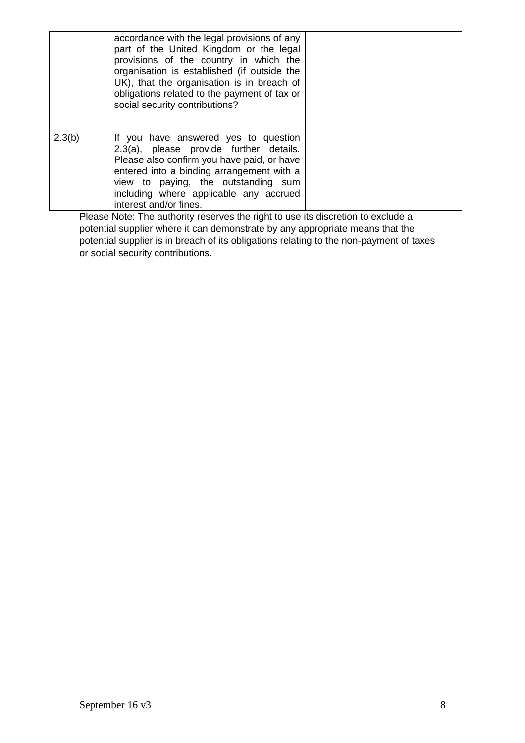|        | accordance with the legal provisions of any<br>part of the United Kingdom or the legal<br>provisions of the country in which the<br>organisation is established (if outside the<br>UK), that the organisation is in breach of<br>obligations related to the payment of tax or<br>social security contributions? |  |
|--------|-----------------------------------------------------------------------------------------------------------------------------------------------------------------------------------------------------------------------------------------------------------------------------------------------------------------|--|
| 2.3(b) | If you have answered yes to question<br>2.3(a), please provide further details.<br>Please also confirm you have paid, or have<br>entered into a binding arrangement with a<br>view to paying, the outstanding sum<br>including where applicable any accrued<br>interest and/or fines.                           |  |

Please Note: The authority reserves the right to use its discretion to exclude a potential supplier where it can demonstrate by any appropriate means that the potential supplier is in breach of its obligations relating to the non-payment of taxes or social security contributions.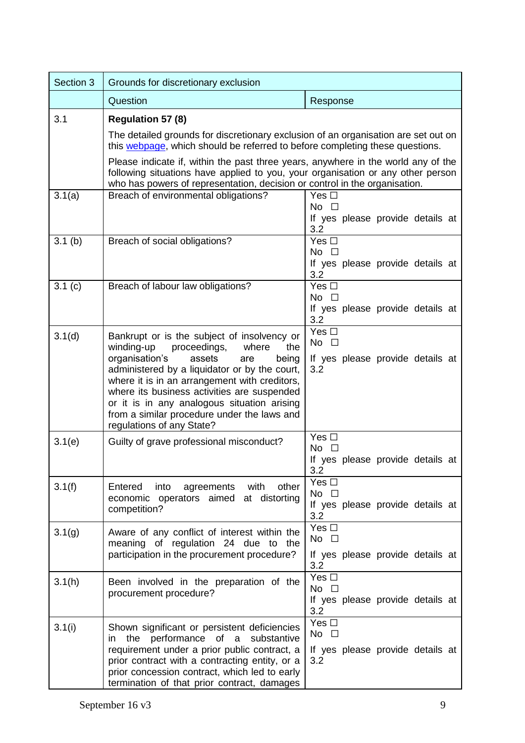| Section 3 | Grounds for discretionary exclusion                                                                                                                                                                                                                |                                                         |  |  |
|-----------|----------------------------------------------------------------------------------------------------------------------------------------------------------------------------------------------------------------------------------------------------|---------------------------------------------------------|--|--|
|           | Question                                                                                                                                                                                                                                           | Response                                                |  |  |
| 3.1       | Regulation 57 (8)                                                                                                                                                                                                                                  |                                                         |  |  |
|           | The detailed grounds for discretionary exclusion of an organisation are set out on<br>this webpage, which should be referred to before completing these questions.                                                                                 |                                                         |  |  |
|           | Please indicate if, within the past three years, anywhere in the world any of the<br>following situations have applied to you, your organisation or any other person<br>who has powers of representation, decision or control in the organisation. |                                                         |  |  |
| 3.1(a)    | Breach of environmental obligations?                                                                                                                                                                                                               | Yes $\square$                                           |  |  |
|           |                                                                                                                                                                                                                                                    | No $\square$<br>If yes please provide details at<br>3.2 |  |  |
| 3.1(b)    | Breach of social obligations?                                                                                                                                                                                                                      | Yes $\square$                                           |  |  |
|           |                                                                                                                                                                                                                                                    | $No$ $\Box$<br>If yes please provide details at<br>3.2  |  |  |
| 3.1(c)    | Breach of labour law obligations?                                                                                                                                                                                                                  | Yes $\Box$                                              |  |  |
|           |                                                                                                                                                                                                                                                    | $No$ $\Box$                                             |  |  |
|           |                                                                                                                                                                                                                                                    | If yes please provide details at<br>3.2                 |  |  |
| 3.1(d)    | Bankrupt or is the subject of insolvency or                                                                                                                                                                                                        | Yes $\square$                                           |  |  |
|           | winding-up<br>proceedings,<br>the<br>where                                                                                                                                                                                                         | No $\square$                                            |  |  |
|           | organisation's<br>assets<br>being<br>are                                                                                                                                                                                                           | If yes please provide details at                        |  |  |
|           | administered by a liquidator or by the court,<br>where it is in an arrangement with creditors,                                                                                                                                                     | 3.2                                                     |  |  |
|           | where its business activities are suspended                                                                                                                                                                                                        |                                                         |  |  |
|           | or it is in any analogous situation arising                                                                                                                                                                                                        |                                                         |  |  |
|           | from a similar procedure under the laws and<br>regulations of any State?                                                                                                                                                                           |                                                         |  |  |
| 3.1(e)    | Guilty of grave professional misconduct?                                                                                                                                                                                                           | Yes $\Box$                                              |  |  |
|           |                                                                                                                                                                                                                                                    | No $\square$<br>If yes please provide details at        |  |  |
|           |                                                                                                                                                                                                                                                    | 3.2                                                     |  |  |
| 3.1(f)    | agreements<br>with<br>other<br>Entered<br>into                                                                                                                                                                                                     | Yes $\square$                                           |  |  |
|           | economic operators aimed at distorting                                                                                                                                                                                                             | No $\square$<br>If yes please provide details at        |  |  |
|           | competition?                                                                                                                                                                                                                                       | 3.2                                                     |  |  |
| 3.1(g)    | Aware of any conflict of interest within the                                                                                                                                                                                                       | Yes $\square$                                           |  |  |
|           | meaning of regulation 24 due to the                                                                                                                                                                                                                | No $\square$                                            |  |  |
|           | participation in the procurement procedure?                                                                                                                                                                                                        | If yes please provide details at<br>3.2                 |  |  |
| 3.1(h)    | Been involved in the preparation of the                                                                                                                                                                                                            | Yes $\square$                                           |  |  |
|           | procurement procedure?                                                                                                                                                                                                                             | No $\square$                                            |  |  |
|           |                                                                                                                                                                                                                                                    | If yes please provide details at<br>3.2                 |  |  |
| 3.1(i)    | Shown significant or persistent deficiencies                                                                                                                                                                                                       | Yes $\square$                                           |  |  |
|           | performance of a<br>the<br>substantive<br>in                                                                                                                                                                                                       | No $\square$                                            |  |  |
|           | requirement under a prior public contract, a<br>prior contract with a contracting entity, or a                                                                                                                                                     | If yes please provide details at<br>3.2                 |  |  |
|           | prior concession contract, which led to early                                                                                                                                                                                                      |                                                         |  |  |
|           | termination of that prior contract, damages                                                                                                                                                                                                        |                                                         |  |  |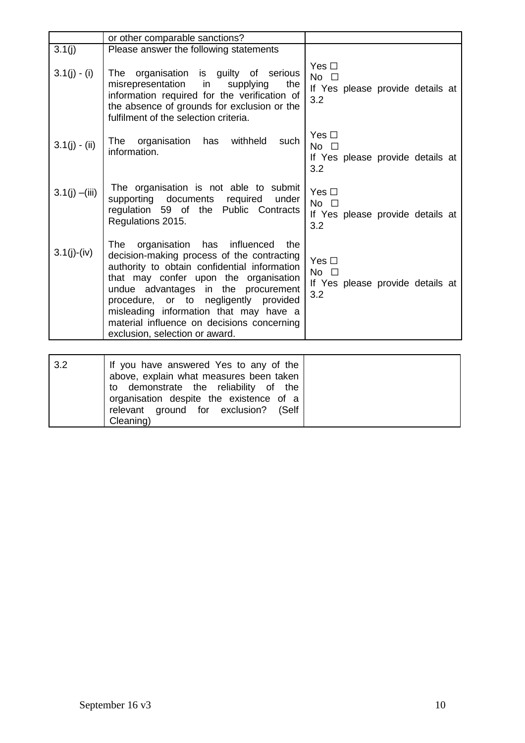|                  | or other comparable sanctions?                                                                                                                                                                                                                                                                                                                                                                   |                                                                       |
|------------------|--------------------------------------------------------------------------------------------------------------------------------------------------------------------------------------------------------------------------------------------------------------------------------------------------------------------------------------------------------------------------------------------------|-----------------------------------------------------------------------|
| 3.1(j)           | Please answer the following statements                                                                                                                                                                                                                                                                                                                                                           |                                                                       |
| $3.1(j) - (i)$   | organisation is guilty of serious<br>The<br>misrepresentation<br>the<br>in<br>supplying<br>information required for the verification of<br>the absence of grounds for exclusion or the<br>fulfilment of the selection criteria.                                                                                                                                                                  | Yes $\Box$<br>No $\square$<br>If Yes please provide details at<br>3.2 |
| $3.1(j) - (ii)$  | withheld<br>The organisation<br>has<br>such<br>information.                                                                                                                                                                                                                                                                                                                                      | Yes $\Box$<br>No $\square$<br>If Yes please provide details at<br>3.2 |
| $3.1(j) - (iii)$ | The organisation is not able to submit<br>supporting documents required<br>under<br>regulation 59 of the Public Contracts<br>Regulations 2015.                                                                                                                                                                                                                                                   | Yes $\Box$<br>No $\square$<br>If Yes please provide details at<br>3.2 |
| $3.1(j)-(iv)$    | organisation<br>influenced<br>has<br>The<br>the<br>decision-making process of the contracting<br>authority to obtain confidential information<br>that may confer upon the organisation<br>undue advantages in the procurement<br>procedure, or to negligently provided<br>misleading information that may have a<br>material influence on decisions concerning<br>exclusion, selection or award. | Yes $\Box$<br>No $\square$<br>If Yes please provide details at<br>3.2 |
|                  |                                                                                                                                                                                                                                                                                                                                                                                                  |                                                                       |
| 3.2              | If you have answered Yes to any of the<br>above, explain what measures been taken<br>demonstrate the<br>reliability of<br>the<br>to<br>organisation despite the existence of a<br>relevant<br>ground for<br>exclusion?<br>(Self<br>Cleaning)                                                                                                                                                     |                                                                       |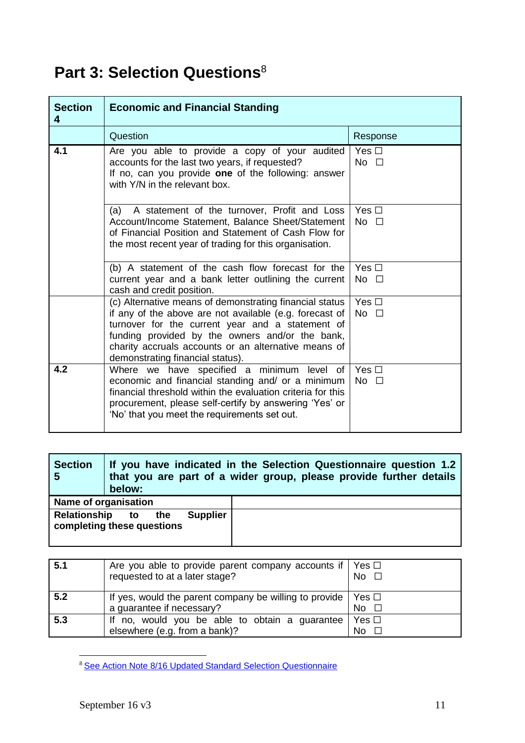# **Part 3: Selection Questions**<sup>8</sup>

| <b>Section</b><br>4 | <b>Economic and Financial Standing</b>                                                                                                                                                                                                                                                                                |                              |  |
|---------------------|-----------------------------------------------------------------------------------------------------------------------------------------------------------------------------------------------------------------------------------------------------------------------------------------------------------------------|------------------------------|--|
|                     | Question                                                                                                                                                                                                                                                                                                              | Response                     |  |
| 4.1                 | Are you able to provide a copy of your audited<br>accounts for the last two years, if requested?<br>If no, can you provide one of the following: answer<br>with Y/N in the relevant box.                                                                                                                              | Yes $\square$<br>$No$ $\Box$ |  |
|                     | A statement of the turnover, Profit and Loss<br>(a)<br>Account/Income Statement, Balance Sheet/Statement<br>of Financial Position and Statement of Cash Flow for<br>the most recent year of trading for this organisation.                                                                                            | Yes $\Box$<br>$No$ $\Box$    |  |
|                     | (b) A statement of the cash flow forecast for the<br>current year and a bank letter outlining the current<br>cash and credit position.                                                                                                                                                                                | Yes $\Box$<br>No $\square$   |  |
|                     | (c) Alternative means of demonstrating financial status<br>if any of the above are not available (e.g. forecast of<br>turnover for the current year and a statement of<br>funding provided by the owners and/or the bank,<br>charity accruals accounts or an alternative means of<br>demonstrating financial status). | Yes $\Box$<br>$No$ $\Box$    |  |
| 4.2                 | Where we have specified a minimum level of<br>economic and financial standing and/ or a minimum<br>financial threshold within the evaluation criteria for this<br>procurement, please self-certify by answering 'Yes' or<br>'No' that you meet the requirements set out.                                              | Yes $\square$<br>$No$ $\Box$ |  |

| <b>Section</b><br>5                           | If you have indicated in the Selection Questionnaire question 1.2<br>that you are part of a wider group, please provide further details<br>below: |     |                 |  |
|-----------------------------------------------|---------------------------------------------------------------------------------------------------------------------------------------------------|-----|-----------------|--|
| Name of organisation                          |                                                                                                                                                   |     |                 |  |
| Relationship to<br>completing these questions |                                                                                                                                                   | the | <b>Supplier</b> |  |

| 5.1 | Are you able to provide parent company accounts if $\triangleright$ Yes $\square$<br>requested to at a later stage? | No.          |
|-----|---------------------------------------------------------------------------------------------------------------------|--------------|
| 5.2 | If yes, would the parent company be willing to provide $\vert$ Yes $\Box$<br>a guarantee if necessary?              | No.          |
| 5.3 | If no, would you be able to obtain a guarantee<br>elsewhere (e.g. from a bank)?                                     | Yes □<br>No. |

 $\overline{a}$ <sup>8</sup> See Action Note 8/16 Updated [Standard Selection Questionnaire](https://www.gov.uk/government/collections/procurement-policy-notes)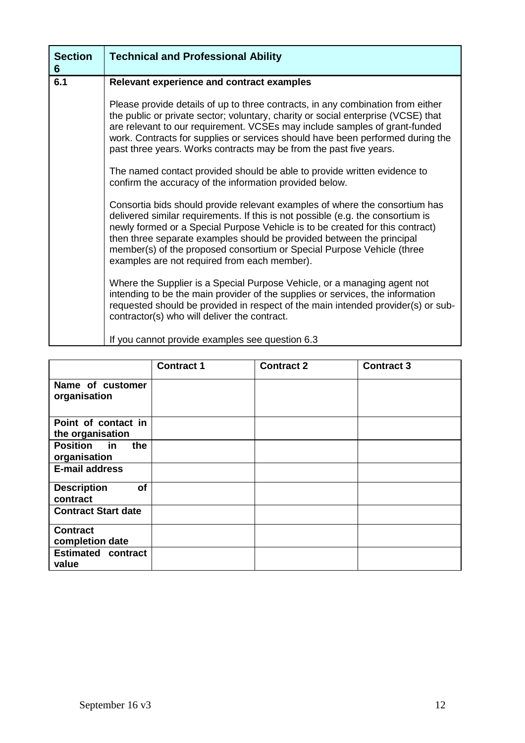| <b>Section</b><br>6 | <b>Technical and Professional Ability</b>                                                                                                                                                                                                                                                                                                                                                                                                          |
|---------------------|----------------------------------------------------------------------------------------------------------------------------------------------------------------------------------------------------------------------------------------------------------------------------------------------------------------------------------------------------------------------------------------------------------------------------------------------------|
| 6.1                 | Relevant experience and contract examples                                                                                                                                                                                                                                                                                                                                                                                                          |
|                     | Please provide details of up to three contracts, in any combination from either<br>the public or private sector; voluntary, charity or social enterprise (VCSE) that<br>are relevant to our requirement. VCSEs may include samples of grant-funded<br>work. Contracts for supplies or services should have been performed during the<br>past three years. Works contracts may be from the past five years.                                         |
|                     | The named contact provided should be able to provide written evidence to<br>confirm the accuracy of the information provided below.                                                                                                                                                                                                                                                                                                                |
|                     | Consortia bids should provide relevant examples of where the consortium has<br>delivered similar requirements. If this is not possible (e.g. the consortium is<br>newly formed or a Special Purpose Vehicle is to be created for this contract)<br>then three separate examples should be provided between the principal<br>member(s) of the proposed consortium or Special Purpose Vehicle (three<br>examples are not required from each member). |
|                     | Where the Supplier is a Special Purpose Vehicle, or a managing agent not<br>intending to be the main provider of the supplies or services, the information<br>requested should be provided in respect of the main intended provider(s) or sub-<br>contractor(s) who will deliver the contract.                                                                                                                                                     |
|                     | If you cannot provide examples see question 6.3                                                                                                                                                                                                                                                                                                                                                                                                    |

|                                           | <b>Contract 1</b> | <b>Contract 2</b> | <b>Contract 3</b> |
|-------------------------------------------|-------------------|-------------------|-------------------|
| Name of customer<br>organisation          |                   |                   |                   |
| Point of contact in<br>the organisation   |                   |                   |                   |
| <b>Position</b> in<br>the<br>organisation |                   |                   |                   |
| <b>E-mail address</b>                     |                   |                   |                   |
| of<br><b>Description</b><br>contract      |                   |                   |                   |
| <b>Contract Start date</b>                |                   |                   |                   |
| <b>Contract</b><br>completion date        |                   |                   |                   |
| <b>Estimated contract</b><br>value        |                   |                   |                   |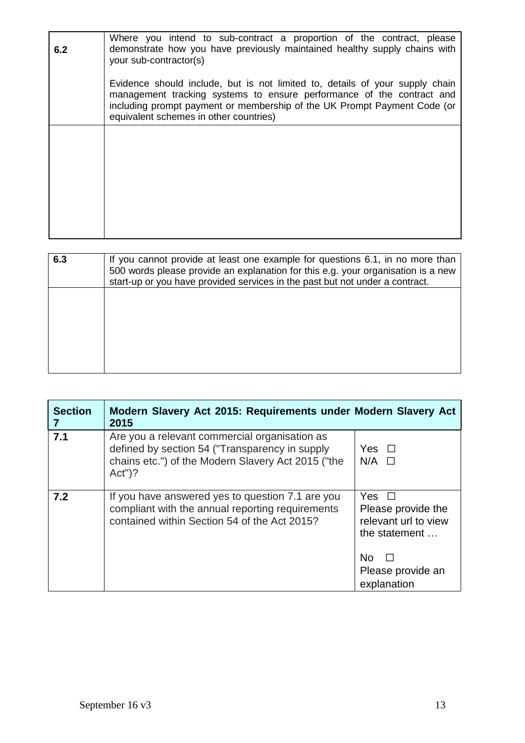| 6.2 | Where you intend to sub-contract a proportion of the contract, please<br>demonstrate how you have previously maintained healthy supply chains with<br>your sub-contractor(s)                                                                                                |
|-----|-----------------------------------------------------------------------------------------------------------------------------------------------------------------------------------------------------------------------------------------------------------------------------|
|     | Evidence should include, but is not limited to, details of your supply chain<br>management tracking systems to ensure performance of the contract and<br>including prompt payment or membership of the UK Prompt Payment Code (or<br>equivalent schemes in other countries) |
|     |                                                                                                                                                                                                                                                                             |
|     |                                                                                                                                                                                                                                                                             |
|     |                                                                                                                                                                                                                                                                             |

| 6.3 | If you cannot provide at least one example for questions 6.1, in no more than<br>500 words please provide an explanation for this e.g. your organisation is a new<br>start-up or you have provided services in the past but not under a contract. |
|-----|---------------------------------------------------------------------------------------------------------------------------------------------------------------------------------------------------------------------------------------------------|
|     |                                                                                                                                                                                                                                                   |
|     |                                                                                                                                                                                                                                                   |
|     |                                                                                                                                                                                                                                                   |

| <b>Section</b> | Modern Slavery Act 2015: Requirements under Modern Slavery Act<br>2015                                                                                             |                                                                                                                                      |
|----------------|--------------------------------------------------------------------------------------------------------------------------------------------------------------------|--------------------------------------------------------------------------------------------------------------------------------------|
| 7.1            | Are you a relevant commercial organisation as<br>defined by section 54 ("Transparency in supply<br>chains etc.") of the Modern Slavery Act 2015 ("the<br>$Act")$ ? | Yes $\Box$<br>$N/A$ $\square$                                                                                                        |
| 7.2            | If you have answered yes to question 7.1 are you<br>compliant with the annual reporting requirements<br>contained within Section 54 of the Act 2015?               | <b>Yes</b><br>$\Box$<br>Please provide the<br>relevant url to view<br>the statement<br><b>No</b><br>Please provide an<br>explanation |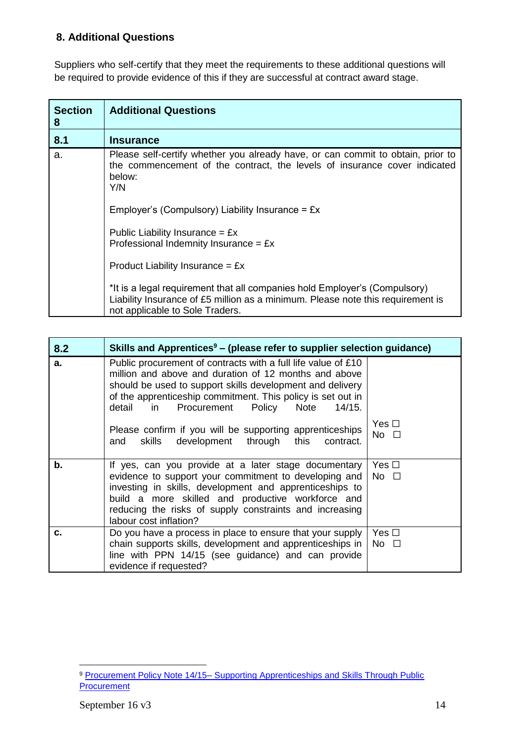## **8. Additional Questions**

Suppliers who self-certify that they meet the requirements to these additional questions will be required to provide evidence of this if they are successful at contract award stage.

| <b>Section</b><br>8 | <b>Additional Questions</b>                                                                                                                                                                      |
|---------------------|--------------------------------------------------------------------------------------------------------------------------------------------------------------------------------------------------|
| 8.1                 | <b>Insurance</b>                                                                                                                                                                                 |
| a.                  | Please self-certify whether you already have, or can commit to obtain, prior to<br>the commencement of the contract, the levels of insurance cover indicated<br>below:<br>Y/N                    |
|                     | Employer's (Compulsory) Liability Insurance = $Ex$                                                                                                                                               |
|                     | Public Liability Insurance = $Ex$<br>Professional Indemnity Insurance = $Ex$                                                                                                                     |
|                     | Product Liability Insurance = $Ex$                                                                                                                                                               |
|                     | *It is a legal requirement that all companies hold Employer's (Compulsory)<br>Liability Insurance of £5 million as a minimum. Please note this requirement is<br>not applicable to Sole Traders. |

| 8.2   | Skills and Apprentices <sup>9</sup> – (please refer to supplier selection guidance)                                                                                                                                                                                                                                                                                                                                                      |                            |
|-------|------------------------------------------------------------------------------------------------------------------------------------------------------------------------------------------------------------------------------------------------------------------------------------------------------------------------------------------------------------------------------------------------------------------------------------------|----------------------------|
| a.    | Public procurement of contracts with a full life value of £10<br>million and above and duration of 12 months and above<br>should be used to support skills development and delivery<br>of the apprenticeship commitment. This policy is set out in<br>Procurement Policy<br>Note<br>$\mathsf{in}$<br>detail<br>14/15.<br>Please confirm if you will be supporting apprenticeships<br>skills development through this<br>contract.<br>and | Yes $\Box$<br>No $\square$ |
| $b$ . | If yes, can you provide at a later stage documentary<br>evidence to support your commitment to developing and<br>investing in skills, development and apprenticeships to<br>build a more skilled and productive workforce and<br>reducing the risks of supply constraints and increasing<br>labour cost inflation?                                                                                                                       | Yes $\Box$<br>$No$ $\Box$  |
| c.    | Do you have a process in place to ensure that your supply<br>chain supports skills, development and apprenticeships in<br>line with PPN 14/15 (see guidance) and can provide<br>evidence if requested?                                                                                                                                                                                                                                   | Yes $\Box$<br>No $\square$ |

 $\overline{a}$ 9 Procurement Policy Note 14/15– Supporting Apprenticeships and Skills Through Public **[Procurement](https://www.gov.uk/government/uploads/system/uploads/attachment_data/file/456805/27_08_15_Skills__Apprenticeships_PPN_vfinal.pdf)**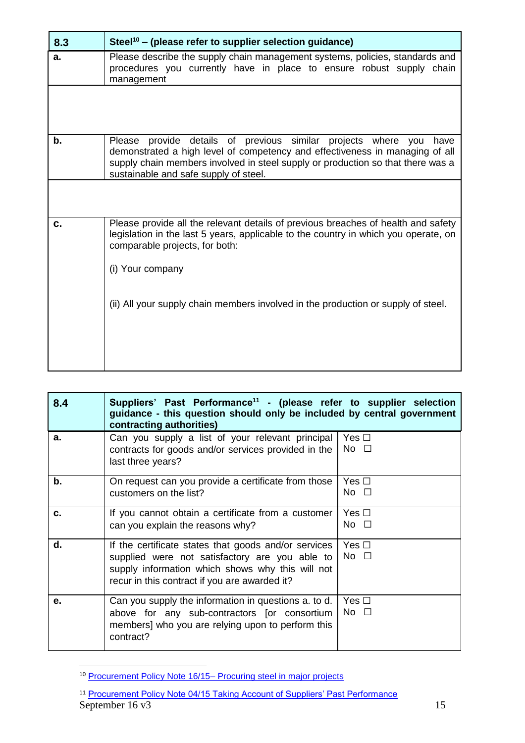| 8.3 | Steel <sup>10</sup> – (please refer to supplier selection guidance)                                                                                                                                                                                                                  |
|-----|--------------------------------------------------------------------------------------------------------------------------------------------------------------------------------------------------------------------------------------------------------------------------------------|
| a.  | Please describe the supply chain management systems, policies, standards and<br>procedures you currently have in place to ensure robust supply chain<br>management                                                                                                                   |
|     |                                                                                                                                                                                                                                                                                      |
| b.  | provide details of previous similar projects where you<br>Please<br>have<br>demonstrated a high level of competency and effectiveness in managing of all<br>supply chain members involved in steel supply or production so that there was a<br>sustainable and safe supply of steel. |
|     |                                                                                                                                                                                                                                                                                      |
| c.  | Please provide all the relevant details of previous breaches of health and safety<br>legislation in the last 5 years, applicable to the country in which you operate, on<br>comparable projects, for both:<br>(i) Your company                                                       |
|     | (ii) All your supply chain members involved in the production or supply of steel.                                                                                                                                                                                                    |

| 8.4 | Suppliers' Past Performance <sup>11</sup> - (please refer to supplier selection<br>guidance - this question should only be included by central government<br>contracting authorities)                       |                            |
|-----|-------------------------------------------------------------------------------------------------------------------------------------------------------------------------------------------------------------|----------------------------|
| a.  | Can you supply a list of your relevant principal<br>contracts for goods and/or services provided in the<br>last three years?                                                                                | Yes $\Box$<br>No $\square$ |
| b.  | On request can you provide a certificate from those<br>customers on the list?                                                                                                                               | Yes □<br>No $\square$      |
| c.  | If you cannot obtain a certificate from a customer<br>can you explain the reasons why?                                                                                                                      | Yes $\Box$<br>No $\square$ |
| d.  | If the certificate states that goods and/or services<br>supplied were not satisfactory are you able to<br>supply information which shows why this will not<br>recur in this contract if you are awarded it? | Yes $\Box$<br>No $\square$ |
| е.  | Can you supply the information in questions a. to d.<br>above for any sub-contractors [or consortium<br>members] who you are relying upon to perform this<br>contract?                                      | Yes $\Box$<br>No $\square$ |

 $\overline{a}$ <sup>10</sup> [Procurement Policy Note 16/15–](https://www.gov.uk/government/uploads/system/uploads/attachment_data/file/473545/PPN_16-15_Procuring_steel_in_major_projects.pdf) Procuring [s](https://www.gov.uk/government/uploads/system/uploads/attachment_data/file/473545/PPN_16-15_Procuring_steel_in_major_projects.pdf)teel in major projects

September  $16 \text{ v}3$  15 <sup>11</sup> [Procurement Policy Note 04/15 Taking Account of Suppliers' Past Performance](https://www.gov.uk/government/publications/procurement-policy-note-0415-taking-account-of-suppliers-past-performance)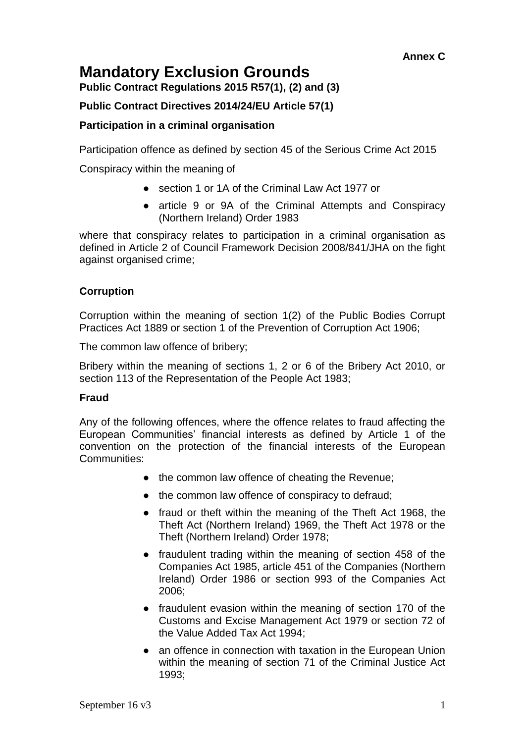## **Mandatory Exclusion Grounds**

**Public Contract Regulations 2015 R57(1), (2) and (3)**

## **Public Contract Directives 2014/24/EU Article 57(1)**

## **Participation in a criminal organisation**

Participation offence as defined by section 45 of the Serious Crime Act 2015

Conspiracy within the meaning of

- section 1 or 1A of the Criminal Law Act 1977 or
- article 9 or 9A of the Criminal Attempts and Conspiracy (Northern Ireland) Order 1983

where that conspiracy relates to participation in a criminal organisation as defined in Article 2 of Council Framework Decision 2008/841/JHA on the fight against organised crime;

## **Corruption**

Corruption within the meaning of section 1(2) of the Public Bodies Corrupt Practices Act 1889 or section 1 of the Prevention of Corruption Act 1906;

The common law offence of bribery;

Bribery within the meaning of sections 1, 2 or 6 of the Bribery Act 2010, or section 113 of the Representation of the People Act 1983;

## **Fraud**

Any of the following offences, where the offence relates to fraud affecting the European Communities' financial interests as defined by Article 1 of the convention on the protection of the financial interests of the European Communities:

- the common law offence of cheating the Revenue;
- the common law offence of conspiracy to defraud;
- fraud or theft within the meaning of the Theft Act 1968, the Theft Act (Northern Ireland) 1969, the Theft Act 1978 or the Theft (Northern Ireland) Order 1978;
- fraudulent trading within the meaning of section 458 of the Companies Act 1985, article 451 of the Companies (Northern Ireland) Order 1986 or section 993 of the Companies Act 2006;
- fraudulent evasion within the meaning of section 170 of the Customs and Excise Management Act 1979 or section 72 of the Value Added Tax Act 1994;
- an offence in connection with taxation in the European Union within the meaning of section 71 of the Criminal Justice Act 1993;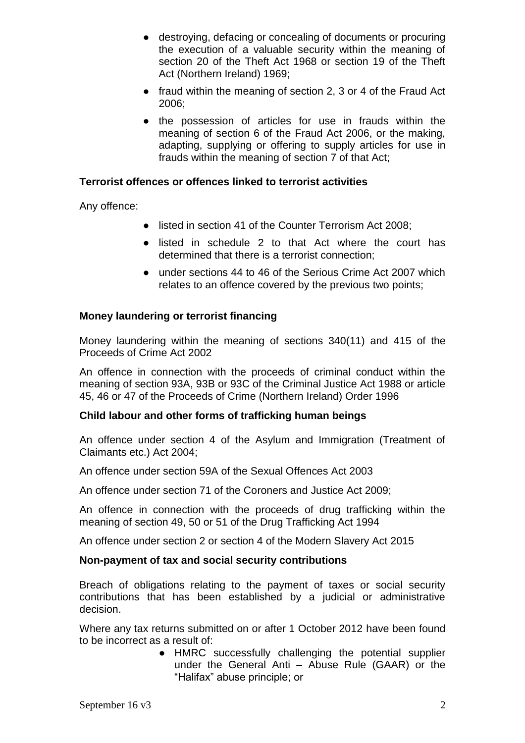- destroying, defacing or concealing of documents or procuring the execution of a valuable security within the meaning of section 20 of the Theft Act 1968 or section 19 of the Theft Act (Northern Ireland) 1969;
- fraud within the meaning of section 2, 3 or 4 of the Fraud Act 2006;
- the possession of articles for use in frauds within the meaning of section 6 of the Fraud Act 2006, or the making, adapting, supplying or offering to supply articles for use in frauds within the meaning of section 7 of that Act;

## **Terrorist offences or offences linked to terrorist activities**

Any offence:

- listed in section 41 of the Counter Terrorism Act 2008;
- listed in schedule 2 to that Act where the court has determined that there is a terrorist connection;
- under sections 44 to 46 of the Serious Crime Act 2007 which relates to an offence covered by the previous two points;

#### **Money laundering or terrorist financing**

Money laundering within the meaning of sections 340(11) and 415 of the Proceeds of Crime Act 2002

An offence in connection with the proceeds of criminal conduct within the meaning of section 93A, 93B or 93C of the Criminal Justice Act 1988 or article 45, 46 or 47 of the Proceeds of Crime (Northern Ireland) Order 1996

#### **Child labour and other forms of trafficking human beings**

An offence under section 4 of the Asylum and Immigration (Treatment of Claimants etc.) Act 2004;

An offence under section 59A of the Sexual Offences Act 2003

An offence under section 71 of the Coroners and Justice Act 2009;

An offence in connection with the proceeds of drug trafficking within the meaning of section 49, 50 or 51 of the Drug Trafficking Act 1994

An offence under section 2 or section 4 of the Modern Slavery Act 2015

#### **Non-payment of tax and social security contributions**

Breach of obligations relating to the payment of taxes or social security contributions that has been established by a judicial or administrative decision.

Where any tax returns submitted on or after 1 October 2012 have been found to be incorrect as a result of:

> ● HMRC successfully challenging the potential supplier under the General Anti – Abuse Rule (GAAR) or the "Halifax" abuse principle; or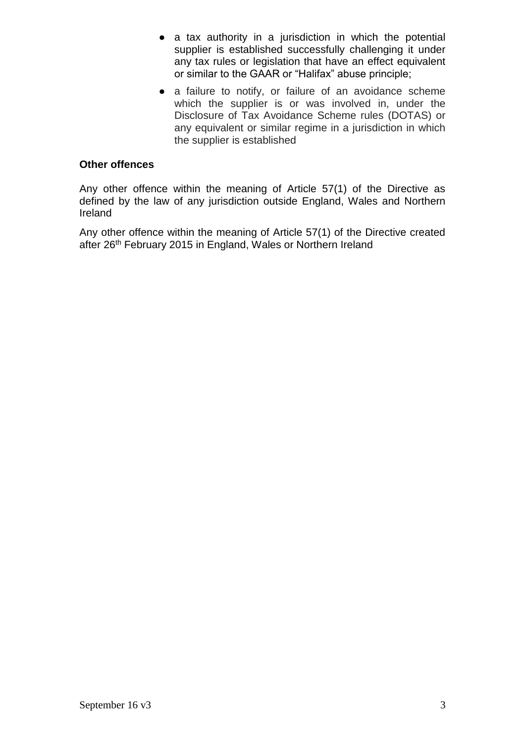- a tax authority in a jurisdiction in which the potential supplier is established successfully challenging it under any tax rules or legislation that have an effect equivalent or similar to the GAAR or "Halifax" abuse principle;
- a failure to notify, or failure of an avoidance scheme which the supplier is or was involved in, under the Disclosure of Tax Avoidance Scheme rules (DOTAS) or any equivalent or similar regime in a jurisdiction in which the supplier is established

## **Other offences**

Any other offence within the meaning of Article 57(1) of the Directive as defined by the law of any jurisdiction outside England, Wales and Northern Ireland

Any other offence within the meaning of Article 57(1) of the Directive created after 26<sup>th</sup> February 2015 in England, Wales or Northern Ireland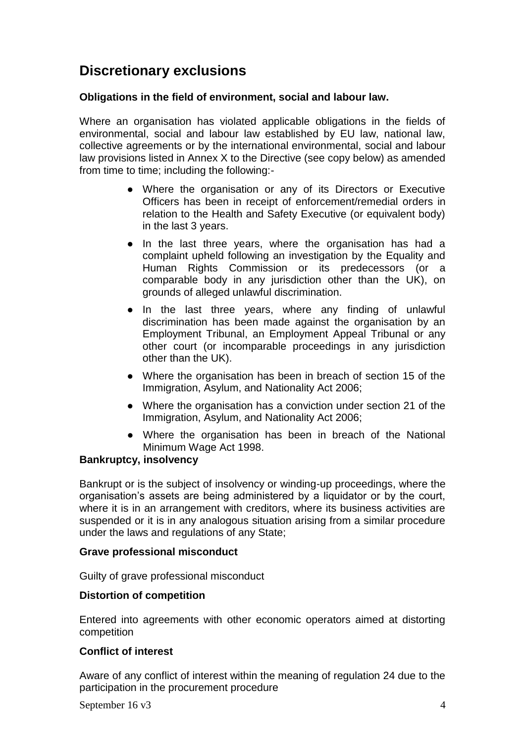## **Discretionary exclusions**

## **Obligations in the field of environment, social and labour law.**

Where an organisation has violated applicable obligations in the fields of environmental, social and labour law established by EU law, national law, collective agreements or by the international environmental, social and labour law provisions listed in Annex X to the Directive (see copy below) as amended from time to time; including the following:-

- Where the organisation or any of its Directors or Executive Officers has been in receipt of enforcement/remedial orders in relation to the Health and Safety Executive (or equivalent body) in the last 3 years.
- In the last three years, where the organisation has had a complaint upheld following an investigation by the Equality and Human Rights Commission or its predecessors (or a comparable body in any jurisdiction other than the UK), on grounds of alleged unlawful discrimination.
- In the last three years, where any finding of unlawful discrimination has been made against the organisation by an Employment Tribunal, an Employment Appeal Tribunal or any other court (or incomparable proceedings in any jurisdiction other than the UK).
- Where the organisation has been in breach of section 15 of the Immigration, Asylum, and Nationality Act 2006;
- Where the organisation has a conviction under section 21 of the Immigration, Asylum, and Nationality Act 2006;
- Where the organisation has been in breach of the National Minimum Wage Act 1998.

## **Bankruptcy, insolvency**

Bankrupt or is the subject of insolvency or winding-up proceedings, where the organisation's assets are being administered by a liquidator or by the court, where it is in an arrangement with creditors, where its business activities are suspended or it is in any analogous situation arising from a similar procedure under the laws and regulations of any State;

## **Grave professional misconduct**

Guilty of grave professional misconduct

## **Distortion of competition**

Entered into agreements with other economic operators aimed at distorting competition

#### **Conflict of interest**

Aware of any conflict of interest within the meaning of regulation 24 due to the participation in the procurement procedure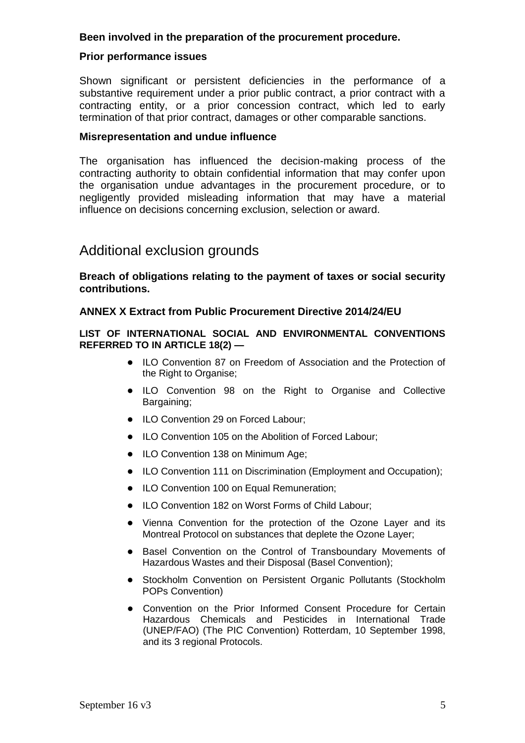#### **Been involved in the preparation of the procurement procedure.**

#### **Prior performance issues**

Shown significant or persistent deficiencies in the performance of a substantive requirement under a prior public contract, a prior contract with a contracting entity, or a prior concession contract, which led to early termination of that prior contract, damages or other comparable sanctions.

#### **Misrepresentation and undue influence**

The organisation has influenced the decision-making process of the contracting authority to obtain confidential information that may confer upon the organisation undue advantages in the procurement procedure, or to negligently provided misleading information that may have a material influence on decisions concerning exclusion, selection or award.

## Additional exclusion grounds

**Breach of obligations relating to the payment of taxes or social security contributions.** 

#### **ANNEX X Extract from Public Procurement Directive 2014/24/EU**

#### **LIST OF INTERNATIONAL SOCIAL AND ENVIRONMENTAL CONVENTIONS REFERRED TO IN ARTICLE 18(2) —**

- ILO Convention 87 on Freedom of Association and the Protection of the Right to Organise;
- ILO Convention 98 on the Right to Organise and Collective Bargaining;
- ILO Convention 29 on Forced Labour;
- ILO Convention 105 on the Abolition of Forced Labour;
- ILO Convention 138 on Minimum Age;
- ILO Convention 111 on Discrimination (Employment and Occupation);
- ILO Convention 100 on Equal Remuneration;
- ILO Convention 182 on Worst Forms of Child Labour;
- Vienna Convention for the protection of the Ozone Layer and its Montreal Protocol on substances that deplete the Ozone Layer;
- Basel Convention on the Control of Transboundary Movements of Hazardous Wastes and their Disposal (Basel Convention);
- Stockholm Convention on Persistent Organic Pollutants (Stockholm POPs Convention)
- Convention on the Prior Informed Consent Procedure for Certain Hazardous Chemicals and Pesticides in International Trade (UNEP/FAO) (The PIC Convention) Rotterdam, 10 September 1998, and its 3 regional Protocols.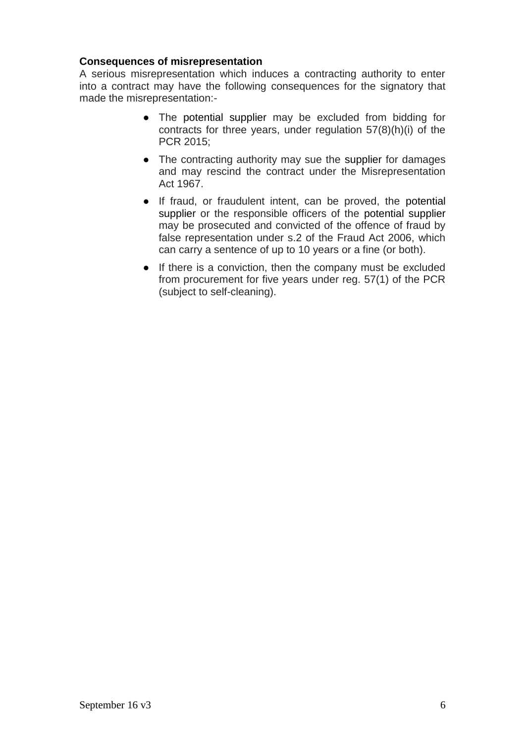## **Consequences of misrepresentation**

A serious misrepresentation which induces a contracting authority to enter into a contract may have the following consequences for the signatory that made the misrepresentation:-

- The potential supplier may be excluded from bidding for contracts for three years, under regulation 57(8)(h)(i) of the PCR 2015;
- The contracting authority may sue the supplier for damages and may rescind the contract under the Misrepresentation Act 1967.
- If fraud, or fraudulent intent, can be proved, the potential supplier or the responsible officers of the potential supplier may be prosecuted and convicted of the offence of fraud by false representation under s.2 of the Fraud Act 2006, which can carry a sentence of up to 10 years or a fine (or both).
- If there is a conviction, then the company must be excluded from procurement for five years under reg. 57(1) of the PCR (subject to self-cleaning).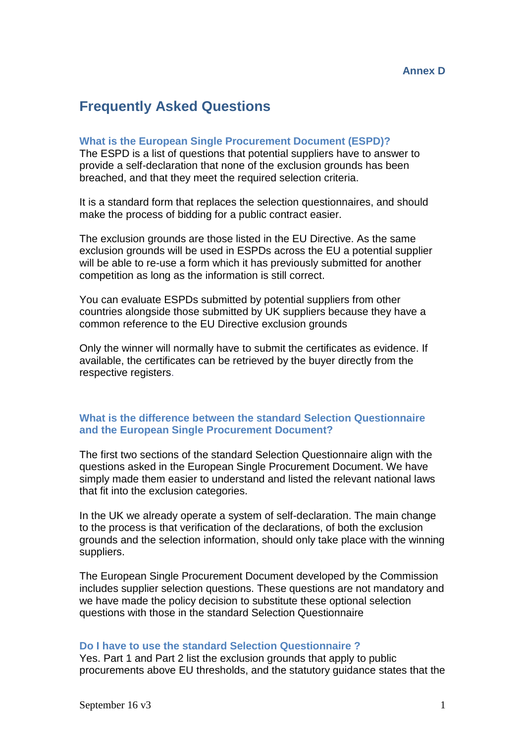## **Frequently Asked Questions**

#### **What is the European Single Procurement Document (ESPD)?**

The ESPD is a list of questions that potential suppliers have to answer to provide a self-declaration that none of the exclusion grounds has been breached, and that they meet the required selection criteria.

It is a standard form that replaces the selection questionnaires, and should make the process of bidding for a public contract easier.

The exclusion grounds are those listed in the EU Directive. As the same exclusion grounds will be used in ESPDs across the EU a potential supplier will be able to re-use a form which it has previously submitted for another competition as long as the information is still correct.

You can evaluate ESPDs submitted by potential suppliers from other countries alongside those submitted by UK suppliers because they have a common reference to the EU Directive exclusion grounds

Only the winner will normally have to submit the certificates as evidence. If available, the certificates can be retrieved by the buyer directly from the respective registers.

#### **What is the difference between the standard Selection Questionnaire and the European Single Procurement Document?**

The first two sections of the standard Selection Questionnaire align with the questions asked in the European Single Procurement Document. We have simply made them easier to understand and listed the relevant national laws that fit into the exclusion categories.

In the UK we already operate a system of self-declaration. The main change to the process is that verification of the declarations, of both the exclusion grounds and the selection information, should only take place with the winning suppliers.

The European Single Procurement Document developed by the Commission includes supplier selection questions. These questions are not mandatory and we have made the policy decision to substitute these optional selection questions with those in the standard Selection Questionnaire

#### **Do I have to use the standard Selection Questionnaire ?**

Yes. Part 1 and Part 2 list the exclusion grounds that apply to public procurements above EU thresholds, and the statutory guidance states that the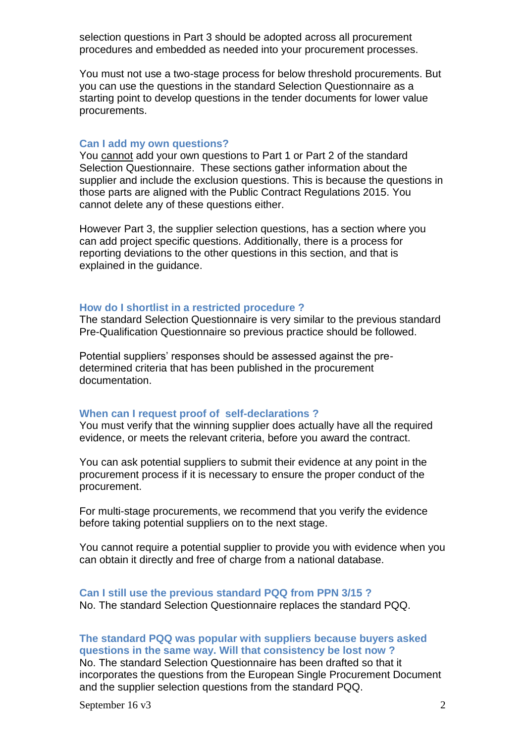selection questions in Part 3 should be adopted across all procurement procedures and embedded as needed into your procurement processes.

You must not use a two-stage process for below threshold procurements. But you can use the questions in the standard Selection Questionnaire as a starting point to develop questions in the tender documents for lower value procurements.

#### **Can I add my own questions?**

You cannot add your own questions to Part 1 or Part 2 of the standard Selection Questionnaire. These sections gather information about the supplier and include the exclusion questions. This is because the questions in those parts are aligned with the Public Contract Regulations 2015. You cannot delete any of these questions either.

However Part 3, the supplier selection questions, has a section where you can add project specific questions. Additionally, there is a process for reporting deviations to the other questions in this section, and that is explained in the guidance.

#### **How do I shortlist in a restricted procedure ?**

The standard Selection Questionnaire is very similar to the previous standard Pre-Qualification Questionnaire so previous practice should be followed.

Potential suppliers' responses should be assessed against the predetermined criteria that has been published in the procurement documentation.

#### **When can I request proof of self-declarations ?**

You must verify that the winning supplier does actually have all the required evidence, or meets the relevant criteria, before you award the contract.

You can ask potential suppliers to submit their evidence at any point in the procurement process if it is necessary to ensure the proper conduct of the procurement.

For multi-stage procurements, we recommend that you verify the evidence before taking potential suppliers on to the next stage.

You cannot require a potential supplier to provide you with evidence when you can obtain it directly and free of charge from a national database.

#### **Can I still use the previous standard PQQ from PPN 3/15 ?** No. The standard Selection Questionnaire replaces the standard PQQ.

**The standard PQQ was popular with suppliers because buyers asked questions in the same way. Will that consistency be lost now ?**

No. The standard Selection Questionnaire has been drafted so that it incorporates the questions from the European Single Procurement Document and the supplier selection questions from the standard PQQ.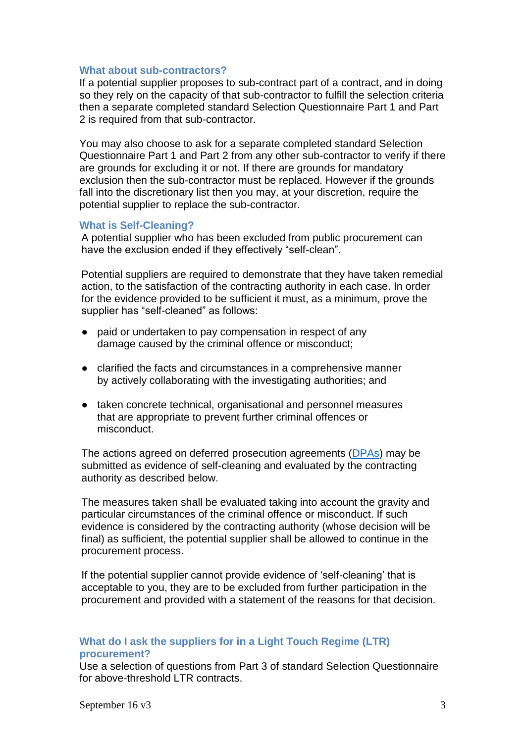#### **What about sub-contractors?**

If a potential supplier proposes to sub-contract part of a contract, and in doing so they rely on the capacity of that sub-contractor to fulfill the selection criteria then a separate completed standard Selection Questionnaire Part 1 and Part 2 is required from that sub-contractor.

You may also choose to ask for a separate completed standard Selection Questionnaire Part 1 and Part 2 from any other sub-contractor to verify if there are grounds for excluding it or not. If there are grounds for mandatory exclusion then the sub-contractor must be replaced. However if the grounds fall into the discretionary list then you may, at your discretion, require the potential supplier to replace the sub-contractor.

#### **What is Self-Cleaning?**

A potential supplier who has been excluded from public procurement can have the exclusion ended if they effectively "self-clean".

Potential suppliers are required to demonstrate that they have taken remedial action, to the satisfaction of the contracting authority in each case. In order for the evidence provided to be sufficient it must, as a minimum, prove the supplier has "self-cleaned" as follows:

- paid or undertaken to pay compensation in respect of any damage caused by the criminal offence or misconduct;
- clarified the facts and circumstances in a comprehensive manner by actively collaborating with the investigating authorities; and
- taken concrete technical, organisational and personnel measures that are appropriate to prevent further criminal offences or misconduct.

The actions agreed on deferred prosecution agreements (DPAs) may be submitted as evidence of self-cleaning and evaluated by the contracting authority as described below.

The measures taken shall be evaluated taking into account the gravity and particular circumstances of the criminal offence or misconduct. If such evidence is considered by the contracting authority (whose decision will be final) as sufficient, the potential supplier shall be allowed to continue in the procurement process.

If the potential supplier cannot provide evidence of 'self-cleaning' that is acceptable to you, they are to be excluded from further participation in the procurement and provided with a statement of the reasons for that decision.

## **What do I ask the suppliers for in a Light Touch Regime (LTR) procurement?**

Use a selection of questions from Part 3 of standard Selection Questionnaire for above-threshold LTR contracts.